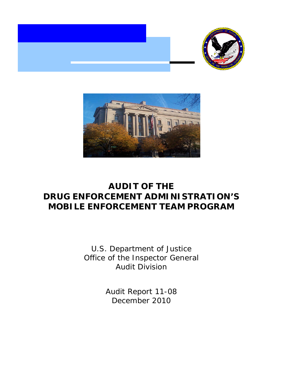



# **AUDIT OF THE MOBILE ENFORCEMENT TEAM PROGRAM DRUG ENFORCEMENT ADMINISTRATION'S**

U.S. Department of Justice Office of the Inspector General Audit Division

> Audit Report 11-08 December 2010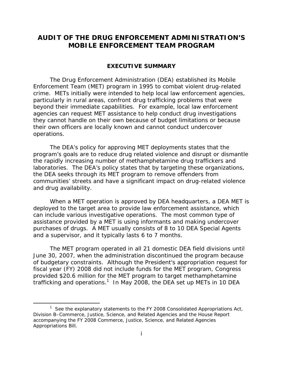# **AUDIT OF THE DRUG ENFORCEMENT ADMINISTRATION'S MOBILE ENFORCEMENT TEAM PROGRAM**

# **EXECUTIVE SUMMARY**

The Drug Enforcement Administration (DEA) established its Mobile Enforcement Team (MET) program in 1995 to combat violent drug-related crime. METs initially were intended to help local law enforcement agencies, particularly in rural areas, confront drug trafficking problems that were beyond their immediate capabilities. For example, local law enforcement agencies can request MET assistance to help conduct drug investigations they cannot handle on their own because of budget limitations or because their own officers are locally known and cannot conduct undercover operations.

The DEA's policy for approving MET deployments states that the program's goals are to reduce drug related violence and disrupt or dismantle the rapidly increasing number of methamphetamine drug traffickers and laboratories. The DEA's policy states that by targeting these organizations, the DEA seeks through its MET program to remove offenders from communities' streets and have a significant impact on drug-related violence and drug availability.

When a MET operation is approved by DEA headquarters, a DEA MET is deployed to the target area to provide law enforcement assistance, which can include various investigative operations. The most common type of assistance provided by a MET is using informants and making undercover purchases of drugs. A MET usually consists of 8 to 10 DEA Special Agents and a supervisor, and it typically lasts 6 to 7 months.

The MET program operated in all 21 domestic DEA field divisions until June 30, 2007, when the administration discontinued the program because of budgetary constraints. Although the President's appropriation request for fiscal year (FY) 2008 did not include funds for the MET program, Congress provided \$20.6 million for the MET program to target methamphetamine trafficking and operations.<sup>1</sup> In May 2008, the DEA set up METs in 10 DEA

<sup>&</sup>lt;sup>1</sup> See the explanatory statements to the FY 2008 Consolidated Appropriations Act, Division B–Commerce, Justice, Science, and Related Agencies and the House Report accompanying the FY 2008 Commerce, Justice, Science, and Related Agencies Appropriations Bill.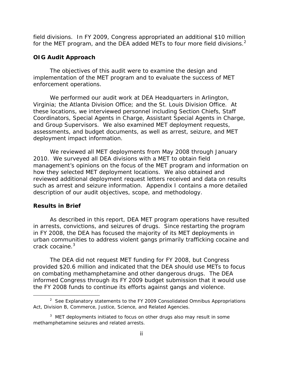field divisions. In FY 2009, Congress appropriated an additional \$10 million for the MET program, and the DEA added METs to four more field divisions. $2$ 

# **OIG Audit Approach**

The objectives of this audit were to examine the design and implementation of the MET program and to evaluate the success of MET enforcement operations.

We performed our audit work at DEA Headquarters in Arlington, Virginia; the Atlanta Division Office; and the St. Louis Division Office. At these locations, we interviewed personnel including Section Chiefs, Staff Coordinators, Special Agents in Charge, Assistant Special Agents in Charge, and Group Supervisors. We also examined MET deployment requests, assessments, and budget documents, as well as arrest, seizure, and MET deployment impact information.

We reviewed all MET deployments from May 2008 through January 2010. We surveyed all DEA divisions with a MET to obtain field management's opinions on the focus of the MET program and information on how they selected MET deployment locations. We also obtained and reviewed additional deployment request letters received and data on results such as arrest and seizure information. Appendix I contains a more detailed description of our audit objectives, scope, and methodology.

#### **Results in Brief**

-

crack cocaine.<sup>3</sup> As described in this report, DEA MET program operations have resulted in arrests, convictions, and seizures of drugs. Since restarting the program in FY 2008, the DEA has focused the majority of its MET deployments in urban communities to address violent gangs primarily trafficking cocaine and

The DEA did not request MET funding for FY 2008, but Congress provided \$20.6 million and indicated that the DEA should use METs to focus on combating methamphetamine and other dangerous drugs. The DEA informed Congress through its FY 2009 budget submission that it would use the FY 2008 funds to continue its efforts against gangs and violence.

<sup>&</sup>lt;sup>2</sup> See Explanatory statements to the FY 2009 Consolidated Omnibus Appropriations Act, Division B, Commerce, Justice, Science, and Related Agencies.

 $3$  MET deployments initiated to focus on other drugs also may result in some methamphetamine seizures and related arrests.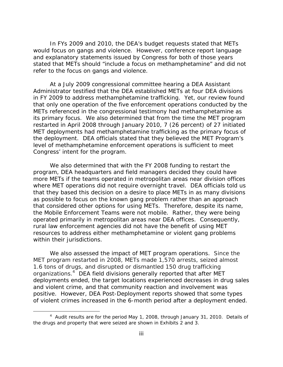In FYs 2009 and 2010, the DEA's budget requests stated that METs would focus on gangs and violence. However, conference report language and explanatory statements issued by Congress for both of those years stated that METs should "include a focus on methamphetamine" and did not refer to the focus on gangs and violence.

At a July 2009 congressional committee hearing a DEA Assistant Administrator testified that the DEA established METs at four DEA divisions in FY 2009 to address methamphetamine trafficking. Yet, our review found that only one operation of the five enforcement operations conducted by the METs referenced in the congressional testimony had methamphetamine as its primary focus. We also determined that from the time the MET program restarted in April 2008 through January 2010, 7 (26 percent) of 27 initiated MET deployments had methamphetamine trafficking as the primary focus of the deployment. DEA officials stated that they believed the MET Program's level of methamphetamine enforcement operations is sufficient to meet Congress' intent for the program.

We also determined that with the FY 2008 funding to restart the program, DEA headquarters and field managers decided they could have more METs if the teams operated in metropolitan areas near division offices where MET operations did not require overnight travel. DEA officials told us that they based this decision on a desire to place METs in as many divisions as possible to focus on the known gang problem rather than an approach that considered other options for using METs. Therefore, despite its name, the Mobile Enforcement Teams were not mobile. Rather, they were being operated primarily in metropolitan areas near DEA offices. Consequently, rural law enforcement agencies did not have the benefit of using MET resources to address either methamphetamine or violent gang problems within their jurisdictions.

We also assessed the impact of MET program operations. Since the MET program restarted in 2008, METs made 1,570 arrests, seized almost 1.6 tons of drugs, and disrupted or dismantled 150 drug trafficking organizations.<sup>4</sup> DEA field divisions generally reported that after MET deployments ended, the target locations experienced decreases in drug sales and violent crime, and that community reaction and involvement was positive. However, DEA Post-Deployment reports showed that some types of violent crimes increased in the 6-month period after a deployment ended.

<sup>&</sup>lt;sup>4</sup> Audit results are for the period May 1, 2008, through January 31, 2010. Details of the drugs and property that were seized are shown in Exhibits 2 and 3.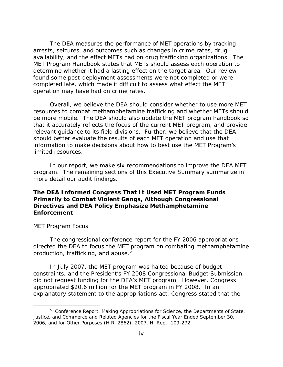The DEA measures the performance of MET operations by tracking arrests, seizures, and outcomes such as changes in crime rates, drug availability, and the effect METs had on drug trafficking organizations. The MET Program Handbook states that METs should assess each operation to determine whether it had a lasting effect on the target area. Our review found some post-deployment assessments were not completed or were completed late, which made it difficult to assess what effect the MET operation may have had on crime rates.

Overall, we believe the DEA should consider whether to use more MET resources to combat methamphetamine trafficking and whether METs should be more mobile. The DEA should also update the MET program handbook so that it accurately reflects the focus of the current MET program, and provide relevant guidance to its field divisions. Further, we believe that the DEA should better evaluate the results of each MET operation and use that information to make decisions about how to best use the MET Program's limited resources.

In our report, we make six recommendations to improve the DEA MET program. The remaining sections of this Executive Summary summarize in more detail our audit findings.

# **The DEA Informed Congress That It Used MET Program Funds Primarily to Combat Violent Gangs, Although Congressional Directives and DEA Policy Emphasize Methamphetamine Enforcement**

## *MET Program Focus*

 $\overline{a}$ 

production, trafficking, and abuse.<sup>5</sup> The congressional conference report for the FY 2006 appropriations directed the DEA to focus the MET program on combating methamphetamine

In July 2007, the MET program was halted because of budget constraints, and the President's FY 2008 Congressional Budget Submission did not request funding for the DEA's MET program. However, Congress appropriated \$20.6 million for the MET program in FY 2008. In an explanatory statement to the appropriations act, Congress stated that the

<sup>&</sup>lt;sup>5</sup> Conference Report, *Making Appropriations for Science, the Departments of State, Justice, and Commerce and Related Agencies for the Fiscal Year Ended September 30, 2006, and for Other Purposes* (H.R. 2862), 2007, H. Rept. 109-272.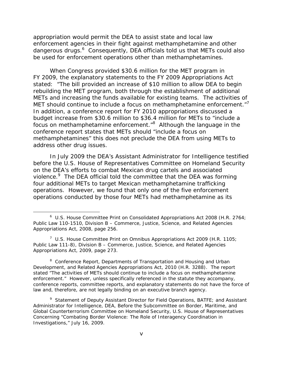appropriation would permit the DEA to assist state and local law enforcement agencies in their fight against methamphetamine and other dangerous drugs.<sup>6</sup> Consequently, DEA officials told us that METs could also be used for enforcement operations other than methamphetamines.

MET should continue to include a focus on methamphetamine enforcement."<sup>7</sup> When Congress provided \$30.6 million for the MET program in FY 2009, the explanatory statements to the FY 2009 Appropriations Act stated: "The bill provided an increase of \$10 million to allow DEA to begin rebuilding the MET program, both through the establishment of additional METs and increasing the funds available for existing teams. The activities of In addition, a conference report for FY 2010 appropriations discussed a budget increase from \$30.6 million to \$36.4 million for METs to "include a focus on methamphetamine enforcement."8 Although the language in the conference report states that METs should "include a focus on methamphetamines" this does not preclude the DEA from using METs to address other drug issues.

In July 2009 the DEA's Assistant Administrator for Intelligence testified before the U.S. House of Representatives Committee on Homeland Security on the DEA's efforts to combat Mexican drug cartels and associated violence.<sup>9</sup> The DEA official told the committee that the DEA was forming four additional METs to target Mexican methamphetamine trafficking operations. However, we found that only one of the five enforcement operations conducted by those four METs had methamphetamine as its

<sup>&</sup>lt;sup>6</sup> U.S. House Committee Print on Consolidated Appropriations Act 2008 (H.R. 2764; Public Law 110-1510, *Division B – Commerce, Justice, Science, and Related Agencies Appropriations Act, 2008*, page 256.

<sup>&</sup>lt;sup>7</sup> U.S. House Committee Print on Omnibus Appropriations Act 2009 (H.R. 1105; Public Law 111-8), *Division B – Commerce, Justice, Science, and Related Agencies Appropriations Act, 2009*, page 273.

<sup>8</sup> Conference Report, *Departments of Transportation and Housing and Urban Development, and Related Agencies Appropriations Act, 2010* (H.R. 3288). The report stated "The activities of METs should continue to include a focus on methamphetamine enforcement." However, unless specifically referenced in the statute they accompany, conference reports, committee reports, and explanatory statements do not have the force of law and, therefore, are not legally binding on an executive branch agency.

 <sup>9</sup>*Statement of Deputy Assistant Director for Field Operations, BATFE; and Assistant Investigations,"* July 16, 2009. v *Administrator for Intelligence, DEA, Before the Subcommittee on Border, Maritime, and Global Counterterrorism Committee on Homeland Security, U.S. House of Representatives Concerning "Combating Border Violence: The Role of Interagency Coordination in*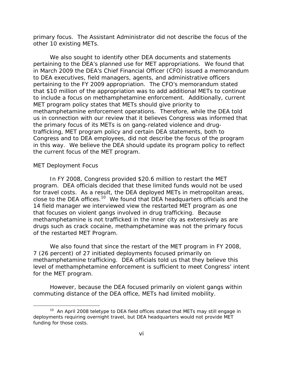primary focus. The Assistant Administrator did not describe the focus of the other 10 existing METs.

We also sought to identify other DEA documents and statements pertaining to the DEA's planned use for MET appropriations. We found that in March 2009 the DEA's Chief Financial Officer (CFO) issued a memorandum to DEA executives, field managers, agents, and administrative officers pertaining to the FY 2009 appropriation. The CFO's memorandum stated that \$10 million of the appropriation was to add additional METs to continue to include a focus on methamphetamine enforcement. Additionally, current MET program policy states that METs should give priority to methamphetamine enforcement operations. Therefore, while the DEA told us in connection with our review that it believes Congress was informed that the primary focus of its METs is on gang-related violence and drugtrafficking, MET program policy and certain DEA statements, both to Congress and to DEA employees, did not describe the focus of the program in this way. We believe the DEA should update its program policy to reflect the current focus of the MET program.

# *MET Deployment Focus*

 $\overline{a}$ 

In FY 2008, Congress provided \$20.6 million to restart the MET program. DEA officials decided that these limited funds would not be used for travel costs. As a result, the DEA deployed METs in metropolitan areas, close to the DEA offices.<sup>10</sup> We found that DEA headquarters officials and the 14 field manager we interviewed view the restarted MET program as one that focuses on violent gangs involved in drug trafficking. Because methamphetamine is not trafficked in the inner city as extensively as are drugs such as crack cocaine, methamphetamine was not the primary focus of the restarted MET Program.

We also found that since the restart of the MET program in FY 2008, 7 (26 percent) of 27 initiated deployments focused primarily on methamphetamine trafficking. DEA officials told us that they believe this level of methamphetamine enforcement is sufficient to meet Congress' intent for the MET program.

However, because the DEA focused primarily on violent gangs within commuting distance of the DEA office, METs had limited mobility.

 $10$  An April 2008 teletype to DEA field offices stated that METs may still engage in deployments requiring overnight travel, but DEA headquarters would not provide MET funding for those costs.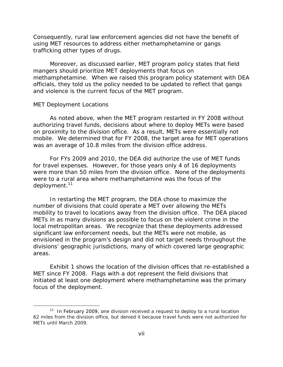Consequently, rural law enforcement agencies did not have the benefit of using MET resources to address either methamphetamine or gangs trafficking other types of drugs.

Moreover, as discussed earlier, MET program policy states that field mangers should prioritize MET deployments that focus on methamphetamine. When we raised this program policy statement with DEA officials, they told us the policy needed to be updated to reflect that gangs and violence is the current focus of the MET program.

#### *MET Deployment Locations*

 $\overline{a}$ 

As noted above, when the MET program restarted in FY 2008 without authorizing travel funds, decisions about where to deploy METs were based on proximity to the division office. As a result, METs were essentially not mobile. We determined that for FY 2008, the target area for MET operations was an average of 10.8 miles from the division office address.

deployment.<sup>11</sup> For FYs 2009 and 2010, the DEA did authorize the use of MET funds for travel expenses. However, for those years only 4 of 16 deployments were more than 50 miles from the division office. None of the deployments were to a rural area where methamphetamine was the focus of the

In restarting the MET program, the DEA chose to maximize the number of divisions that could operate a MET over allowing the METs mobility to travel to locations away from the division office. The DEA placed METs in as many divisions as possible to focus on the violent crime in the local metropolitan areas. We recognize that these deployments addressed significant law enforcement needs, but the METs were not mobile, as envisioned in the program's design and did not target needs throughout the divisions' geographic jurisdictions, many of which covered large geographic areas.

Exhibit 1 shows the location of the division offices that re-established a MET since FY 2008. Flags with a dot represent the field divisions that initiated at least one deployment where methamphetamine was the primary focus of the deployment.

 $11$  In February 2009, one division received a request to deploy to a rural location 62 miles from the division office, but denied it because travel funds were not authorized for METs until March 2009.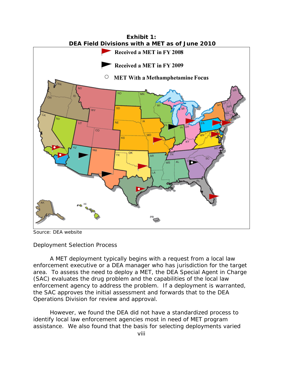

Source: DEA website

# *Deployment Selection Process*

A MET deployment typically begins with a request from a local law enforcement executive or a DEA manager who has jurisdiction for the target area. To assess the need to deploy a MET, the DEA Special Agent in Charge (SAC) evaluates the drug problem and the capabilities of the local law enforcement agency to address the problem. If a deployment is warranted, the SAC approves the initial assessment and forwards that to the DEA Operations Division for review and approval.

However, we found the DEA did not have a standardized process to identify local law enforcement agencies most in need of MET program assistance. We also found that the basis for selecting deployments varied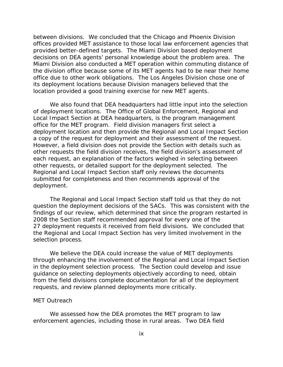between divisions. We concluded that the Chicago and Phoenix Division offices provided MET assistance to those local law enforcement agencies that provided better-defined targets. The Miami Division based deployment decisions on DEA agents' personal knowledge about the problem area. The Miami Division also conducted a MET operation within commuting distance of the division office because some of its MET agents had to be near their home office due to other work obligations. The Los Angeles Division chose one of its deployment locations because Division managers believed that the location provided a good training exercise for new MET agents.

We also found that DEA headquarters had little input into the selection of deployment locations. The Office of Global Enforcement, Regional and Local Impact Section at DEA headquarters, is the program management office for the MET program. Field division managers first select a deployment location and then provide the Regional and Local Impact Section a copy of the request for deployment and their assessment of the request. However, a field division does not provide the Section with details such as other requests the field division receives, the field division's assessment of each request, an explanation of the factors weighed in selecting between other requests, or detailed support for the deployment selected. The Regional and Local Impact Section staff only reviews the documents submitted for completeness and then recommends approval of the deployment.

The Regional and Local Impact Section staff told us that they do not question the deployment decisions of the SACs. This was consistent with the findings of our review, which determined that since the program restarted in 2008 the Section staff recommended approval for every one of the 27 deployment requests it received from field divisions. We concluded that the Regional and Local Impact Section has very limited involvement in the selection process.

We believe the DEA could increase the value of MET deployments through enhancing the involvement of the Regional and Local Impact Section in the deployment selection process. The Section could develop and issue guidance on selecting deployments objectively according to need, obtain from the field divisions complete documentation for all of the deployment requests, and review planned deployments more critically.

# *MET Outreach*

We assessed how the DEA promotes the MET program to law enforcement agencies, including those in rural areas. Two DEA field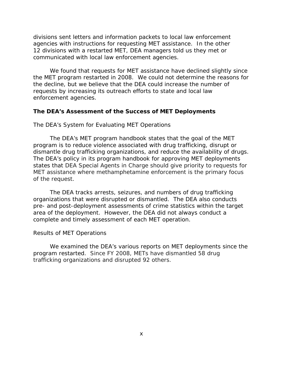divisions sent letters and information packets to local law enforcement agencies with instructions for requesting MET assistance. In the other 12 divisions with a restarted MET, DEA managers told us they met or communicated with local law enforcement agencies.

We found that requests for MET assistance have declined slightly since the MET program restarted in 2008. We could not determine the reasons for the decline, but we believe that the DEA could increase the number of requests by increasing its outreach efforts to state and local law enforcement agencies.

#### **The DEA's Assessment of the Success of MET Deployments**

# *The DEA's System for Evaluating MET Operations*

The DEA's MET program handbook states that the goal of the MET program is to reduce violence associated with drug trafficking, disrupt or dismantle drug trafficking organizations, and reduce the availability of drugs. The DEA's policy in its program handbook for approving MET deployments states that DEA Special Agents in Charge should give priority to requests for MET assistance where methamphetamine enforcement is the primary focus of the request.

The DEA tracks arrests, seizures, and numbers of drug trafficking organizations that were disrupted or dismantled. The DEA also conducts pre- and post-deployment assessments of crime statistics within the target area of the deployment. However, the DEA did not always conduct a complete and timely assessment of each MET operation.

## *Results of MET Operations*

We examined the DEA's various reports on MET deployments since the program restarted. Since FY 2008, METs have dismantled 58 drug trafficking organizations and disrupted 92 others.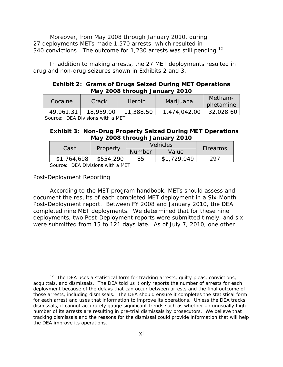340 convictions. The outcome for 1,230 arrests was still pending.<sup>12</sup> Moreover, from May 2008 through January 2010, during 27 deployments METs made 1,570 arrests, which resulted in

In addition to making arrests, the 27 MET deployments resulted in drug and non-drug seizures shown in Exhibits 2 and 3.

# **Exhibit 2: Grams of Drugs Seized During MET Operations May 2008 through January 2010**

| Cocaine   | Crack     | Heroin    | Marijuana    | Metham-<br>phetamine |
|-----------|-----------|-----------|--------------|----------------------|
| 49,961.31 | 18,959.00 | 11,388.50 | 1,474,042.00 | 32,028.60            |
| ------    |           |           |              |                      |

Source: DEA Divisions with a MET

# **Exhibit 3: Non-Drug Property Seized During MET Operations May 2008 through January 2010**

|                  | Property  | <b>Vehicles</b> |             |                 |
|------------------|-----------|-----------------|-------------|-----------------|
| Cash             |           | <b>Number</b>   | Value       | <b>Firearms</b> |
| \$1,764,698      | \$554,290 | 85              | \$1,729,049 | 297             |
| DEADLILL JUL AFT |           |                 |             |                 |

Source: DEA Divisions with a MET

# *Post-Deployment Reporting*

 $\overline{a}$ 

According to the MET program handbook, METs should assess and document the results of each completed MET deployment in a Six-Month Post-Deployment report. Between FY 2008 and January 2010, the DEA completed nine MET deployments. We determined that for these nine deployments, two Post-Deployment reports were submitted timely, and six were submitted from 15 to 121 days late. As of July 7, 2010, one other

 number of its arrests are resulting in pre-trial dismissals by prosecutors. We believe that tracking dismissals and the reasons for the dismissal could provide information that will help  $12$  The DEA uses a statistical form for tracking arrests, guilty pleas, convictions, acquittals, and dismissals. The DEA told us it only reports the number of arrests for each deployment because of the delays that can occur between arrests and the final outcome of those arrests, including dismissals. The DEA should ensure it completes the statistical form for each arrest and uses that information to improve its operations. Unless the DEA tracks dismissals, it cannot accurately gauge significant trends such as whether an unusually high the DEA improve its operations.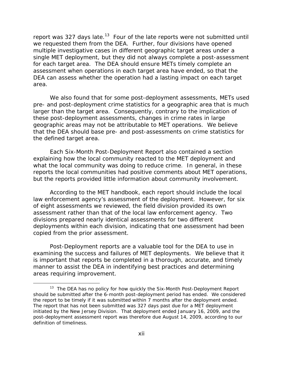report was 327 days late.<sup>13</sup> Four of the late reports were not submitted until we requested them from the DEA. Further, four divisions have opened multiple investigative cases in different geographic target areas under a single MET deployment, but they did not always complete a post-assessment for each target area. The DEA should ensure METs timely complete an assessment when operations in each target area have ended, so that the DEA can assess whether the operation had a lasting impact on each target area.

We also found that for some post-deployment assessments, METs used pre- and post-deployment crime statistics for a geographic area that is much larger than the target area. Consequently, contrary to the implication of these post-deployment assessments, changes in crime rates in large geographic areas may not be attributable to MET operations. We believe that the DEA should base pre- and post-assessments on crime statistics for the defined target area.

Each Six-Month Post-Deployment Report also contained a section explaining how the local community reacted to the MET deployment and what the local community was doing to reduce crime. In general, in these reports the local communities had positive comments about MET operations, but the reports provided little information about community involvement.

According to the MET handbook, each report should include the local law enforcement agency's assessment of the deployment. However, for six of eight assessments we reviewed, the field division provided its own assessment rather than that of the local law enforcement agency. Two divisions prepared nearly identical assessments for two different deployments within each division, indicating that one assessment had been copied from the prior assessment.

Post-Deployment reports are a valuable tool for the DEA to use in examining the success and failures of MET deployments. We believe that it is important that reports be completed in a thorough, accurate, and timely manner to assist the DEA in indentifying best practices and determining areas requiring improvement.

<sup>&</sup>lt;sup>13</sup> The DEA has no policy for how quickly the Six-Month Post-Deployment Report should be submitted after the 6-month post-deployment period has ended. We considered the report to be timely if it was submitted within 7 months after the deployment ended. The report that has not been submitted was 327 days past due for a MET deployment initiated by the New Jersey Division. That deployment ended January 16, 2009, and the post-deployment assessment report was therefore due August 14, 2009, according to our definition of timeliness.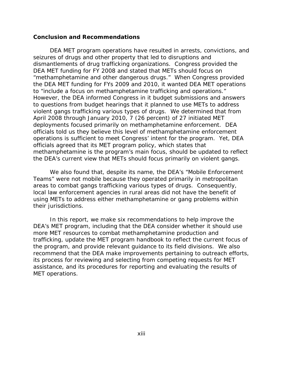## **Conclusion and Recommendations**

DEA MET program operations have resulted in arrests, convictions, and seizures of drugs and other property that led to disruptions and dismantlements of drug trafficking organizations. Congress provided the DEA MET funding for FY 2008 and stated that METs should focus on "methamphetamine and other dangerous drugs." When Congress provided the DEA MET funding for FYs 2009 and 2010, it wanted DEA MET operations to "include a focus on methamphetamine trafficking and operations." However, the DEA informed Congress in it budget submissions and answers to questions from budget hearings that it planned to use METs to address violent gangs trafficking various types of drugs. We determined that from April 2008 through January 2010, 7 (26 percent) of 27 initiated MET deployments focused primarily on methamphetamine enforcement. DEA officials told us they believe this level of methamphetamine enforcement operations is sufficient to meet Congress' intent for the program. Yet, DEA officials agreed that its MET program policy, which states that methamphetamine is the program's main focus, should be updated to reflect the DEA's current view that METs should focus primarily on violent gangs.

We also found that, despite its name, the DEA's "Mobile Enforcement Teams" were not mobile because they operated primarily in metropolitan areas to combat gangs trafficking various types of drugs. Consequently, local law enforcement agencies in rural areas did not have the benefit of using METs to address either methamphetamine or gang problems within their jurisdictions.

In this report, we make six recommendations to help improve the DEA's MET program, including that the DEA consider whether it should use more MET resources to combat methamphetamine production and trafficking, update the MET program handbook to reflect the current focus of the program, and provide relevant guidance to its field divisions. We also recommend that the DEA make improvements pertaining to outreach efforts, its process for reviewing and selecting from competing requests for MET assistance, and its procedures for reporting and evaluating the results of MET operations.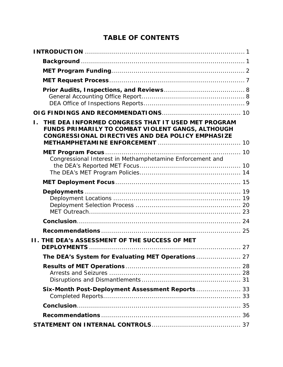# **TABLE OF CONTENTS**

| Ι. | THE DEA INFORMED CONGRESS THAT IT USED MET PROGRAM<br>FUNDS PRIMARILY TO COMBAT VIOLENT GANGS, ALTHOUGH<br>CONGRESSIONAL DIRECTIVES AND DEA POLICY EMPHASIZE |    |
|----|--------------------------------------------------------------------------------------------------------------------------------------------------------------|----|
|    | Congressional Interest in Methamphetamine Enforcement and                                                                                                    |    |
|    |                                                                                                                                                              |    |
|    |                                                                                                                                                              |    |
|    |                                                                                                                                                              |    |
|    |                                                                                                                                                              |    |
|    |                                                                                                                                                              |    |
|    | <b>II. THE DEA's ASSESSMENT OF THE SUCCESS OF MET</b>                                                                                                        |    |
|    |                                                                                                                                                              | 27 |
|    |                                                                                                                                                              |    |
|    |                                                                                                                                                              |    |
|    | Six-Month Post-Deployment Assessment Reports 33                                                                                                              |    |
|    |                                                                                                                                                              |    |
|    |                                                                                                                                                              |    |
|    |                                                                                                                                                              |    |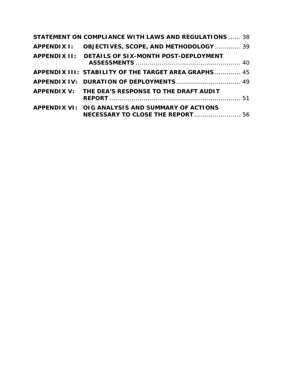| <b>STATEMENT ON COMPLIANCE WITH LAWS AND REGULATIONS  38</b>                          |  |
|---------------------------------------------------------------------------------------|--|
| APPENDIX I: OBJECTIVES, SCOPE, AND METHODOLOGY 39                                     |  |
| APPENDIX II: DETAILS OF SIX-MONTH POST-DEPLOYMENT                                     |  |
| <b>APPENDIX III: STABILITY OF THE TARGET AREA GRAPHS 45</b>                           |  |
|                                                                                       |  |
| APPENDIX V: THE DEA'S RESPONSE TO THE DRAFT AUDIT                                     |  |
| APPENDIX VI: OIG ANALYSIS AND SUMMARY OF ACTIONS<br>NECESSARY TO CLOSE THE REPORT  56 |  |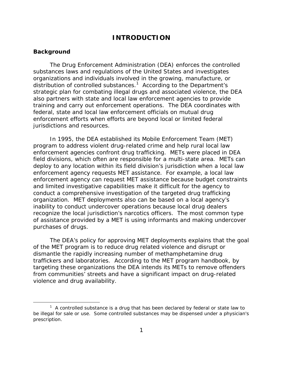# **INTRODUCTION**

# <span id="page-16-0"></span>**Background**

-

The Drug Enforcement Administration (DEA) enforces the controlled substances laws and regulations of the United States and investigates organizations and individuals involved in the growing, manufacture, or distribution of controlled substances.<sup>1</sup> According to the Department's strategic plan for combating illegal drugs and associated violence, the DEA also partners with state and local law enforcement agencies to provide training and carry out enforcement operations. The DEA coordinates with federal, state and local law enforcement officials on mutual drug enforcement efforts when efforts are beyond local or limited federal jurisdictions and resources.

In 1995, the DEA established its Mobile Enforcement Team (MET) program to address violent drug-related crime and help rural local law enforcement agencies confront drug trafficking. METs were placed in DEA field divisions, which often are responsible for a multi-state area. METs can deploy to any location within its field division's jurisdiction when a local law enforcement agency requests MET assistance. For example, a local law enforcement agency can request MET assistance because budget constraints and limited investigative capabilities make it difficult for the agency to conduct a comprehensive investigation of the targeted drug trafficking organization. MET deployments also can be based on a local agency's inability to conduct undercover operations because local drug dealers recognize the local jurisdiction's narcotics officers. The most common type of assistance provided by a MET is using informants and making undercover purchases of drugs.

The DEA's policy for approving MET deployments explains that the goal of the MET program is to reduce drug related violence and disrupt or dismantle the rapidly increasing number of methamphetamine drug traffickers and laboratories. According to the MET program handbook, by targeting these organizations the DEA intends its METs to remove offenders from communities' streets and have a significant impact on drug-related violence and drug availability.

 $1$  A controlled substance is a drug that has been declared by federal or state law to be illegal for sale or use. Some controlled substances may be dispensed under a physician's prescription.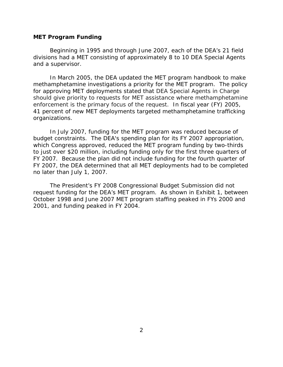#### <span id="page-17-0"></span>**MET Program Funding**

Beginning in 1995 and through June 2007, each of the DEA's 21 field divisions had a MET consisting of approximately 8 to 10 DEA Special Agents and a supervisor.

In March 2005, the DEA updated the MET program handbook to make methamphetamine investigations a priority for the MET program. The policy for approving MET deployments stated that DEA Special Agents in Charge should give priority to requests for MET assistance where methamphetamine enforcement is the primary focus of the request. In fiscal year (FY) 2005, 41 percent of new MET deployments targeted methamphetamine trafficking organizations.

In July 2007, funding for the MET program was reduced because of budget constraints. The DEA's spending plan for its FY 2007 appropriation, which Congress approved, reduced the MET program funding by two-thirds to just over \$20 million, including funding only for the first three quarters of FY 2007. Because the plan did not include funding for the fourth quarter of FY 2007, the DEA determined that all MET deployments had to be completed no later than July 1, 2007.

The President's FY 2008 Congressional Budget Submission did not request funding for the DEA's MET program. As shown in Exhibit 1, between October 1998 and June 2007 MET program staffing peaked in FYs 2000 and 2001, and funding peaked in FY 2004.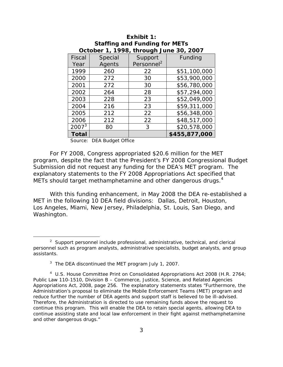| October 1, 1998, through June 30, 2007 |         |                        |               |  |
|----------------------------------------|---------|------------------------|---------------|--|
| Fiscal                                 | Special | Support                | Funding       |  |
| Year                                   | Agents  | Personnel <sup>2</sup> |               |  |
| 1999                                   | 260     | 22                     | \$51,100,000  |  |
| 2000                                   | 272     | 30                     | \$53,900,000  |  |
| 2001                                   | 272     | 30                     | \$56,780,000  |  |
| 2002                                   | 264     | 28                     | \$57,294,000  |  |
| 2003                                   | 228     | 23                     | \$52,049,000  |  |
| 2004                                   | 216     | 23                     | \$59,311,000  |  |
| 2005                                   | 212     | 22                     | \$56,348,000  |  |
| 2006                                   | 212     | 22                     | \$48,517,000  |  |
| $2007^3$                               | 80      | 3                      | \$20,578,000  |  |
| <b>Total</b>                           |         |                        | \$455,877,000 |  |

# **Exhibit 1: Staffing and Funding for METs**

Source: DEA Budget Office

METs should target methamphetamine and other dangerous drugs. $4$ For FY 2008, Congress appropriated \$20.6 million for the MET program, despite the fact that the President's FY 2008 Congressional Budget Submission did not request any funding for the DEA's MET program. The explanatory statements to the FY 2008 Appropriations Act specified that

With this funding enhancement, in May 2008 the DEA re-established a MET in the following 10 DEA field divisions: Dallas, Detroit, Houston, Los Angeles, Miami, New Jersey, Philadelphia, St. Louis, San Diego, and Washington.

<sup>&</sup>lt;sup>2</sup> Support personnel include professional, administrative, technical, and clerical personnel such as program analysts, administrative specialists, budget analysts, and group assistants.

 $3$  The DEA discontinued the MET program July 1, 2007.

reduce further the number of DEA agents and support staff is believed to be ill-advised. <sup>4</sup> U.S. House Committee Print on Consolidated Appropriations Act 2008 (H.R. 2764; Public Law 110-1510, *Division B – Commerce, Justice, Science, and Related Agencies Appropriations Act, 2008*, page 256. The explanatory statements states "Furthermore, the Administration's proposal to eliminate the Mobile Enforcement Teams (MET) program and Therefore, the Administration is directed to use remaining funds above the request to continue this program. This will enable the DEA to retain special agents, allowing DEA to continue assisting state and local law enforcement in their fight against methamphetamine and other dangerous drugs."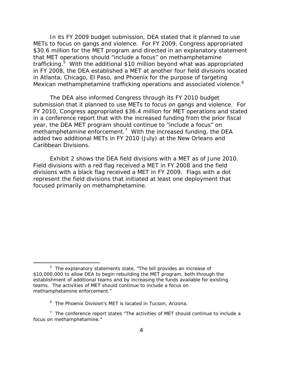Mexican methamphetamine trafficking operations and associated violence.<sup>6</sup> In its FY 2009 budget submission, DEA stated that it planned to use METs to focus on gangs and violence. For FY 2009, Congress appropriated \$30.6 million for the MET program and directed in an explanatory statement that MET operations should "include a focus" on methamphetamine trafficking.<sup>5</sup> With the additional \$10 million beyond what was appropriated in FY 2008, the DEA established a MET at another four field divisions located in Atlanta, Chicago, El Paso, and Phoenix for the purpose of targeting

The DEA also informed Congress through its FY 2010 budget submission that it planned to use METs to focus on gangs and violence. For FY 2010, Congress appropriated \$36.4 million for MET operations and stated in a conference report that with the increased funding from the prior fiscal year, the DEA MET program should continue to "include a focus" on methamphetamine enforcement.<sup>7</sup> With the increased funding, the DEA added two additional METs in FY 2010 (July) at the New Orleans and Caribbean Divisions.

Exhibit 2 shows the DEA field divisions with a MET as of June 2010. Field divisions with a red flag received a MET in FY 2008 and the field divisions with a black flag received a MET in FY 2009. Flags with a dot represent the field divisions that initiated at least one deployment that focused primarily on methamphetamine.

<sup>&</sup>lt;sup>5</sup> The explanatory statements state, "The bill provides an increase of \$10,000,000 to allow DEA to begin rebuilding the MET program, both through the establishment of additional teams and by increasing the funds available for existing teams. The activities of MET should continue to include a focus on methamphetamine enforcement."

<sup>&</sup>lt;sup>6</sup> The Phoenix Division's MET is located in Tucson, Arizona.

 $7$  The conference report states "The activities of MET should continue to include a focus on methamphetamine."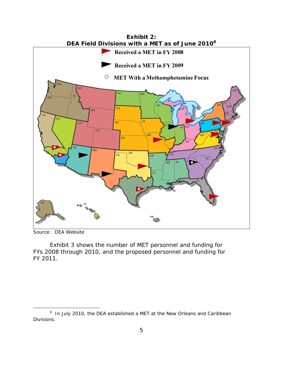

Source: DEA Website

 $\overline{a}$ 

Exhibit 3 shows the number of MET personnel and funding for FYs 2008 through 2010, and the proposed personnel and funding for FY 2011.

<sup>&</sup>lt;sup>8</sup> In July 2010, the DEA established a MET at the New Orleans and Caribbean Divisions.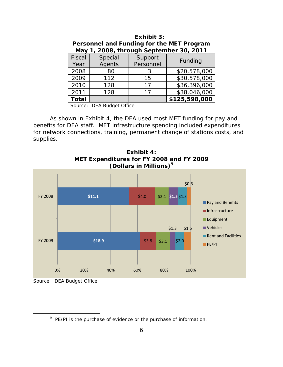| May 1, 2008, through September 30, 2011 |                           |           |               |  |
|-----------------------------------------|---------------------------|-----------|---------------|--|
| <b>Fiscal</b>                           | Special                   | Support   | Funding       |  |
| Year                                    | Agents                    | Personnel |               |  |
| 2008                                    | 80                        | 3         | \$20,578,000  |  |
| 2009                                    | 112                       | 15        | \$30,578,000  |  |
| 2010                                    | 128                       | 17        | \$36,396,000  |  |
| 2011                                    | 128                       | 17        | \$38,046,000  |  |
| <b>Total</b>                            |                           |           | \$125,598,000 |  |
|                                         | Source: DEA Budget Office |           |               |  |

# **Exhibit 3: Personnel and Funding for the MET Program May 1, 2008, through September 30, 2011**

As shown in Exhibit 4, the DEA used most MET funding for pay and benefits for DEA staff. MET infrastructure spending included expenditures for network connections, training, permanent change of stations costs, and supplies.



**Exhibit 4: MET Expenditures for FY 2008 and FY 2009 (Dollars in Millions)9**

Source: DEA Budget Office

<sup>&</sup>lt;sup>9</sup> PE/PI is the purchase of evidence or the purchase of information.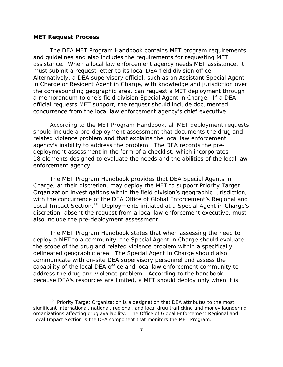#### <span id="page-22-0"></span>**MET Request Process**

 $\overline{a}$ 

The DEA MET Program Handbook contains MET program requirements and guidelines and also includes the requirements for requesting MET assistance. When a local law enforcement agency needs MET assistance, it must submit a request letter to its local DEA field division office. Alternatively, a DEA supervisory official, such as an Assistant Special Agent in Charge or Resident Agent in Charge, with knowledge and jurisdiction over the corresponding geographic area, can request a MET deployment through a memorandum to one's field division Special Agent in Charge. If a DEA official requests MET support, the request should include documented concurrence from the local law enforcement agency's chief executive.

According to the MET Program Handbook, all MET deployment requests should include a pre-deployment assessment that documents the drug and related violence problem and that explains the local law enforcement agency's inability to address the problem. The DEA records the predeployment assessment in the form of a checklist, which incorporates 18 elements designed to evaluate the needs and the abilities of the local law enforcement agency.

The MET Program Handbook provides that DEA Special Agents in Charge, at their discretion, may deploy the MET to support Priority Target Organization investigations within the field division's geographic jurisdiction, with the concurrence of the DEA Office of Global Enforcement's Regional and Local Impact Section.<sup>10</sup> Deployments initiated at a Special Agent in Charge's discretion, absent the request from a local law enforcement executive, must also include the pre-deployment assessment.

The MET Program Handbook states that when assessing the need to deploy a MET to a community, the Special Agent in Charge should evaluate the scope of the drug and related violence problem within a specifically delineated geographic area. The Special Agent in Charge should also communicate with on-site DEA supervisory personnel and assess the capability of the local DEA office and local law enforcement community to address the drug and violence problem. According to the handbook, because DEA's resources are limited, a MET should deploy only when it is

<sup>&</sup>lt;sup>10</sup> Priority Target Organization is a designation that DEA attributes to the most significant international, national, regional, and local drug trafficking and money laundering organizations affecting drug availability. The Office of Global Enforcement Regional and Local Impact Section is the DEA component that monitors the MET Program.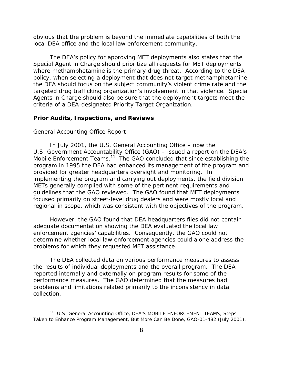<span id="page-23-0"></span>obvious that the problem is beyond the immediate capabilities of both the local DEA office and the local law enforcement community.

The DEA's policy for approving MET deployments also states that the Special Agent in Charge should prioritize all requests for MET deployments where methamphetamine is the primary drug threat. According to the DEA policy, when selecting a deployment that does not target methamphetamine the DEA should focus on the subject community's violent crime rate and the targeted drug trafficking organization's involvement in that violence. Special Agents in Charge should also be sure that the deployment targets meet the criteria of a DEA-designated Priority Target Organization.

# **Prior Audits, Inspections, and Reviews**

#### *General Accounting Office Report*

 $\overline{a}$ 

In July 2001, the U.S. General Accounting Office – now the U.S. Government Accountability Office (GAO) – issued a report on the DEA's Mobile Enforcement Teams.<sup>11</sup> The GAO concluded that since establishing the program in 1995 the DEA had enhanced its management of the program and provided for greater headquarters oversight and monitoring. In implementing the program and carrying out deployments, the field division METs generally complied with some of the pertinent requirements and guidelines that the GAO reviewed. The GAO found that MET deployments focused primarily on street-level drug dealers and were mostly local and regional in scope, which was consistent with the objectives of the program.

However, the GAO found that DEA headquarters files did not contain adequate documentation showing the DEA evaluated the local law enforcement agencies' capabilities. Consequently, the GAO could not determine whether local law enforcement agencies could alone address the problems for which they requested MET assistance.

The DEA collected data on various performance measures to assess the results of individual deployments and the overall program. The DEA reported internally and externally on program results for some of the performance measures. The GAO determined that the measures had problems and limitations related primarily to the inconsistency in data collection.

<sup>11</sup> U.S. General Accounting Office, *DEA'S MOBILE ENFORCEMENT TEAMS, Steps Taken to Enhance Program Management, But More Can Be Done,* GAO-01-482 (July 2001).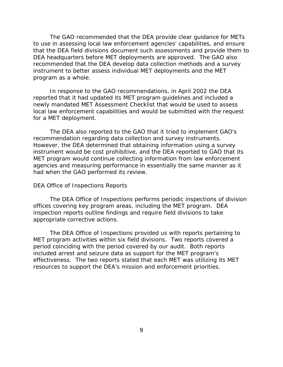<span id="page-24-0"></span>The GAO recommended that the DEA provide clear guidance for METs to use in assessing local law enforcement agencies' capabilities, and ensure that the DEA field divisions document such assessments and provide them to DEA headquarters before MET deployments are approved. The GAO also recommended that the DEA develop data collection methods and a survey instrument to better assess individual MET deployments and the MET program as a whole.

In response to the GAO recommendations, in April 2002 the DEA reported that it had updated its MET program guidelines and included a newly mandated MET Assessment Checklist that would be used to assess local law enforcement capabilities and would be submitted with the request for a MET deployment.

The DEA also reported to the GAO that it tried to implement GAO's recommendation regarding data collection and survey instruments. However, the DEA determined that obtaining information using a survey instrument would be cost prohibitive, and the DEA reported to GAO that its MET program would continue collecting information from law enforcement agencies and measuring performance in essentially the same manner as it had when the GAO performed its review.

#### *DEA Office of Inspections Reports*

The DEA Office of Inspections performs periodic inspections of division offices covering key program areas, including the MET program. DEA inspection reports outline findings and require field divisions to take appropriate corrective actions.

The DEA Office of Inspections provided us with reports pertaining to MET program activities within six field divisions. Two reports covered a period coinciding with the period covered by our audit. Both reports included arrest and seizure data as support for the MET program's effectiveness. The two reports stated that each MET was utilizing its MET resources to support the DEA's mission and enforcement priorities.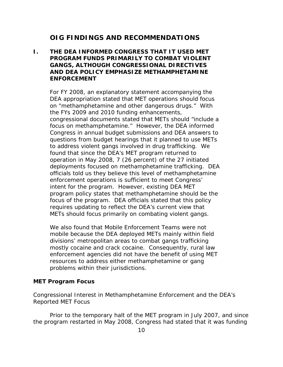# **OIG FINDINGS AND RECOMMENDATIONS**

# <span id="page-25-0"></span>**I. THE DEA INFORMED CONGRESS THAT IT USED MET PROGRAM FUNDS PRIMARILY TO COMBAT VIOLENT GANGS, ALTHOUGH CONGRESSIONAL DIRECTIVES AND DEA POLICY EMPHASIZE METHAMPHETAMINE ENFORCEMENT**

METs should focus primarily on combating violent gangs.<br>We also found that Mobile Enforcement Teams were not For FY 2008, an explanatory statement accompanying the DEA appropriation stated that MET operations should focus on "methamphetamine and other dangerous drugs." With the FYs 2009 and 2010 funding enhancements, congressional documents stated that METs should "include a focus on methamphetamine." However, the DEA informed Congress in annual budget submissions and DEA answers to questions from budget hearings that it planned to use METs to address violent gangs involved in drug trafficking. We found that since the DEA's MET program returned to operation in May 2008, 7 (26 percent) of the 27 initiated deployments focused on methamphetamine trafficking. DEA officials told us they believe this level of methamphetamine enforcement operations is sufficient to meet Congress' intent for the program. However, existing DEA MET program policy states that methamphetamine should be the focus of the program. DEA officials stated that this policy requires updating to reflect the DEA's current view that

mobile because the DEA deployed METs mainly within field divisions' metropolitan areas to combat gangs trafficking mostly cocaine and crack cocaine. Consequently, rural law enforcement agencies did not have the benefit of using MET resources to address either methamphetamine or gang problems within their jurisdictions.

## **MET Program Focus**

*Congressional Interest in Methamphetamine Enforcement and the DEA's Reported MET Focus* 

Prior to the temporary halt of the MET program in July 2007, and since the program restarted in May 2008, Congress had stated that it was funding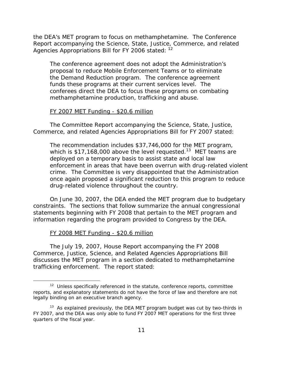the DEA's MET program to focus on methamphetamine. The Conference Report accompanying the Science, State, Justice, Commerce, and related Agencies Appropriations Bill for FY 2006 stated: <sup>12</sup>

The conference agreement does not adopt the Administration's proposal to reduce Mobile Enforcement Teams or to eliminate the Demand Reduction program. The conference agreement funds these programs at their current services level. The conferees direct the DEA to focus these programs on combating methamphetamine production, trafficking and abuse.

## FY 2007 MET Funding - \$20.6 million

The Committee Report accompanying the Science, State, Justice, Commerce, and related Agencies Appropriations Bill for FY 2007 stated:

The recommendation includes \$37,746,000 for the MET program, which is  $$17,168,000$  above the level requested.<sup>13</sup> MET teams are deployed on a temporary basis to assist state and local law enforcement in areas that have been overrun with drug-related violent crime. The Committee is very disappointed that the Administration once again proposed a significant reduction to this program to reduce drug-related violence throughout the country.

On June 30, 2007, the DEA ended the MET program due to budgetary constraints. The sections that follow summarize the annual congressional statements beginning with FY 2008 that pertain to the MET program and information regarding the program provided to Congress by the DEA.

# FY 2008 MET Funding - \$20.6 million

 $\overline{a}$ 

The July 19, 2007, House Report accompanying the FY 2008 Commerce, Justice, Science, and Related Agencies Appropriations Bill discusses the MET program in a section dedicated to methamphetamine trafficking enforcement. The report stated:

<sup>&</sup>lt;sup>12</sup> Unless specifically referenced in the statute, conference reports, committee reports, and explanatory statements do not have the force of law and therefore are not legally binding on an executive branch agency.

 $13$  As explained previously, the DEA MET program budget was cut by two-thirds in FY 2007, and the DEA was only able to fund FY 2007 MET operations for the first three quarters of the fiscal year.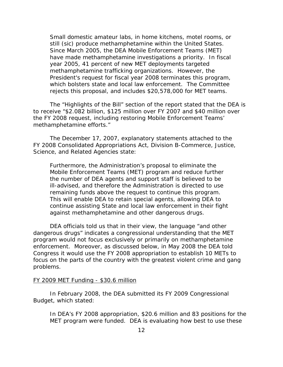Small domestic amateur labs, in home kitchens, motel rooms, or still (sic) produce methamphetamine within the United States. Since March 2005, the DEA Mobile Enforcement Teams (MET) have made methamphetamine investigations a priority. In fiscal year 2005, 41 percent of new MET deployments targeted methamphetamine trafficking organizations. However, the President's request for fiscal year 2008 terminates this program, which bolsters state and local law enforcement. The Committee rejects this proposal, and includes \$20,578,000 for MET teams.

The "Highlights of the Bill" section of the report stated that the DEA is to receive "\$2.082 billion, \$125 million over FY 2007 and \$40 million over the FY 2008 request, including restoring Mobile Enforcement Teams' methamphetamine efforts."

The December 17, 2007, explanatory statements attached to the FY 2008 Consolidated Appropriations Act, Division B-Commerce, Justice, Science, and Related Agencies state:

Furthermore, the Administration's proposal to eliminate the Mobile Enforcement Teams (MET) program and reduce further the number of DEA agents and support staff is believed to be ill-advised, and therefore the Administration is directed to use remaining funds above the request to continue this program. This will enable DEA to retain special agents, allowing DEA to continue assisting State and local law enforcement in their fight against methamphetamine and other dangerous drugs.

problems. DEA officials told us that in their view, the language "and other dangerous drugs" indicates a congressional understanding that the MET program would not focus exclusively or primarily on methamphetamine enforcement. Moreover, as discussed below, in May 2008 the DEA told Congress it would use the FY 2008 appropriation to establish 10 METs to focus on the parts of the country with the greatest violent crime and gang

#### FY 2009 MET Funding - \$30.6 million

In February 2008, the DEA submitted its FY 2009 Congressional Budget, which stated:

In DEA's FY 2008 appropriation, \$20.6 million and 83 positions for the MET program were funded. DEA is evaluating how best to use these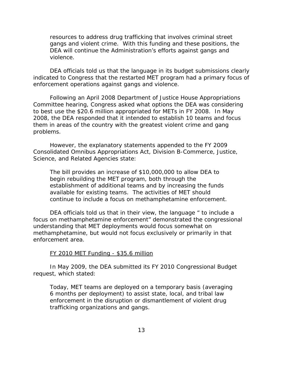resources to address drug trafficking that involves criminal street gangs and violent crime. With this funding and these positions, the DEA will continue the Administration's efforts against gangs and violence.

DEA officials told us that the language in its budget submissions clearly indicated to Congress that the restarted MET program had a primary focus of enforcement operations against gangs and violence.

Following an April 2008 Department of Justice House Appropriations Committee hearing, Congress asked what options the DEA was considering to best use the \$20.6 million appropriated for METs in FY 2008. In May 2008, the DEA responded that it intended to establish 10 teams and focus them in areas of the country with the greatest violent crime and gang problems.

However, the explanatory statements appended to the FY 2009 Consolidated Omnibus Appropriations Act, Division B-Commerce, Justice, Science, and Related Agencies state:

The bill provides an increase of \$10,000,000 to allow DEA to begin rebuilding the MET program, both through the establishment of additional teams and by increasing the funds available for existing teams. The activities of MET should continue to include a focus on methamphetamine enforcement.

DEA officials told us that in their view, the language " to include a focus on methamphetamine enforcement" demonstrated the congressional understanding that MET deployments would focus somewhat on methamphetamine, but would not focus exclusively or primarily in that enforcement area.

# FY 2010 MET Funding - \$35.6 million

In May 2009, the DEA submitted its FY 2010 Congressional Budget request, which stated:

Today, MET teams are deployed on a temporary basis (averaging 6 months per deployment) to assist state, local, and tribal law enforcement in the disruption or dismantlement of violent drug trafficking organizations and gangs.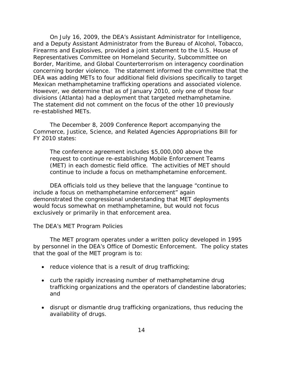<span id="page-29-0"></span>On July 16, 2009, the DEA's Assistant Administrator for Intelligence, and a Deputy Assistant Administrator from the Bureau of Alcohol, Tobacco, Firearms and Explosives, provided a joint statement to the U.S. House of Representatives Committee on Homeland Security, Subcommittee on Border, Maritime, and Global Counterterrorism on interagency coordination concerning border violence. The statement informed the committee that the DEA was adding METs to four additional field divisions specifically to target Mexican methamphetamine trafficking operations and associated violence. However, we determine that as of January 2010, only one of those four divisions (Atlanta) had a deployment that targeted methamphetamine. The statement did not comment on the focus of the other 10 previously re-established METs.

The December 8, 2009 Conference Report accompanying the Commerce, Justice, Science, and Related Agencies Appropriations Bill for FY 2010 states:

The conference agreement includes \$5,000,000 above the request to continue re-establishing Mobile Enforcement Teams (MET) in each domestic field office. The activities of MET should continue to include a focus on methamphetamine enforcement.

DEA officials told us they believe that the language "continue to include a focus on methamphetamine enforcement" again demonstrated the congressional understanding that MET deployments would focus somewhat on methamphetamine, but would not focus exclusively or primarily in that enforcement area.

#### *The DEA's MET Program Policies*

The MET program operates under a written policy developed in 1995 by personnel in the DEA's Office of Domestic Enforcement. The policy states that the goal of the MET program is to:

- reduce violence that is a result of drug trafficking;
- curb the rapidly increasing number of methamphetamine drug trafficking organizations and the operators of clandestine laboratories; and
- disrupt or dismantle drug trafficking organizations, thus reducing the availability of drugs.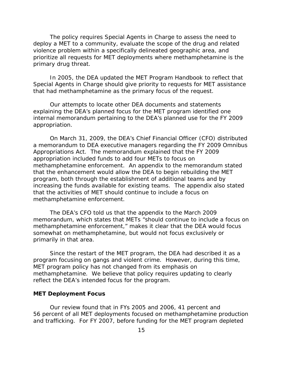<span id="page-30-0"></span>The policy requires Special Agents in Charge to assess the need to deploy a MET to a community, evaluate the scope of the drug and related violence problem within a specifically delineated geographic area, and prioritize all requests for MET deployments where methamphetamine is the primary drug threat.

In 2005, the DEA updated the MET Program Handbook to reflect that Special Agents in Charge should give priority to requests for MET assistance that had methamphetamine as the primary focus of the request.

Our attempts to locate other DEA documents and statements explaining the DEA's planned focus for the MET program identified one internal memorandum pertaining to the DEA's planned use for the FY 2009 appropriation.

On March 31, 2009, the DEA's Chief Financial Officer (CFO) distributed a memorandum to DEA executive managers regarding the FY 2009 Omnibus Appropriations Act. The memorandum explained that the FY 2009 appropriation included funds to add four METs to focus on methamphetamine enforcement. An appendix to the memorandum stated that the enhancement would allow the DEA to begin rebuilding the MET program, both through the establishment of additional teams and by increasing the funds available for existing teams. The appendix also stated that the activities of MET should continue to include a focus on methamphetamine enforcement.

The DEA's CFO told us that the appendix to the March 2009 memorandum, which states that METs "should continue to include a focus on methamphetamine enforcement," makes it clear that the DEA would focus somewhat on methamphetamine, but would not focus exclusively or primarily in that area.

Since the restart of the MET program, the DEA had described it as a program focusing on gangs and violent crime. However, during this time, MET program policy has not changed from its emphasis on methamphetamine. We believe that policy requires updating to clearly reflect the DEA's intended focus for the program.

#### **MET Deployment Focus**

Our review found that in FYs 2005 and 2006, 41 percent and 56 percent of all MET deployments focused on methamphetamine production and trafficking. For FY 2007, before funding for the MET program depleted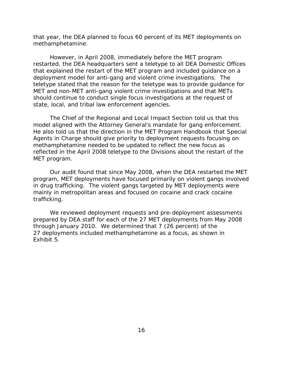methamphetamine. that year, the DEA planned to focus 60 percent of its MET deployments on

However, in April 2008, immediately before the MET program restarted, the DEA headquarters sent a teletype to all DEA Domestic Offices that explained the restart of the MET program and included guidance on a deployment model for anti-gang and violent crime investigations. The teletype stated that the reason for the teletype was to provide guidance for MET and non-MET anti-gang violent crime investigations and that METs should continue to conduct single focus investigations at the request of state, local, and tribal law enforcement agencies.

The Chief of the Regional and Local Impact Section told us that this model aligned with the Attorney General's mandate for gang enforcement. He also told us that the direction in the MET Program Handbook that Special Agents in Charge should give priority to deployment requests focusing on methamphetamine needed to be updated to reflect the new focus as reflected in the April 2008 teletype to the Divisions about the restart of the MET program.

Our audit found that since May 2008, when the DEA restarted the MET program, MET deployments have focused primarily on violent gangs involved in drug trafficking. The violent gangs targeted by MET deployments were mainly in metropolitan areas and focused on cocaine and crack cocaine trafficking.

We reviewed deployment requests and pre-deployment assessments prepared by DEA staff for each of the 27 MET deployments from May 2008 through January 2010. We determined that 7 (26 percent) of the 27 deployments included methamphetamine as a focus, as shown in Exhibit 5.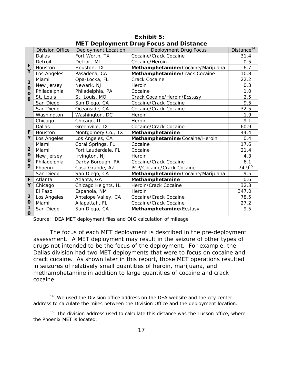|                |                        |                     | MET DOMOVINGIN DI UG I OGUS UNU DISNUNGO |                        |
|----------------|------------------------|---------------------|------------------------------------------|------------------------|
|                | <b>Division Office</b> | Deployment Location | Deployment Drug Focus                    | Distance <sup>14</sup> |
|                | Dallas                 | Fort Worth, TX      | Cocaine/Crack Cocaine                    | 31.4                   |
|                | Detroit                | Detroit, MI         | Cocaine/Heroin                           | 0.5                    |
| F              | Houston                | Houston, TX         | Methamphetamine/Cocaine/Marijuana        | 6.7                    |
| Y              | Los Angeles            | Pasadena, CA        | Methamphetamine/Crack Cocaine            | 10.8                   |
| $\overline{2}$ | Miami                  | Opa-Locka, FL       | <b>Crack Cocaine</b>                     | 22.2                   |
| $\mathbf 0$    | New Jersey             | Newark, NJ          | Heroin                                   | 0.3                    |
| $\mathbf 0$    | Philadelphia           | Philadelphia, PA    | Cocaine                                  | 1.0                    |
| 8              | St. Louis              | St. Louis, MO       | Crack Cocaine/Heroin/Ecstasy             | 2.5                    |
|                | San Diego              | San Diego, CA       | Cocaine/Crack Cocaine                    | 9.5                    |
|                | San Diego              | Oceanside, CA       | Cocaine/Crack Cocaine                    | 32.5                   |
|                | Washington             | Washington, DC      | Heroin                                   | 1.9                    |
|                | Chicago                | Chicago, IL         | Heroin                                   | 9.1                    |
|                | <b>Dallas</b>          | Greenville, TX      | Cocaine/Crack Cocaine                    | 60.9                   |
| F              | Houston                | Montgomery Co., TX  | Methamphetamine                          | 44.4                   |
| Y              | Los Angeles            | Los Angeles, CA     | Methamphetamine/Cocaine/Heroin           | 0.4                    |
|                | Miami                  | Coral Springs, FL   | Cocaine                                  | 17.6                   |
| $\overline{2}$ | Miami                  | Fort Lauderdale, FL | Cocaine                                  | 21.4                   |
| O              | New Jersey             | Irvington, NJ       | Heroin                                   | 4.3                    |
| $\mathbf 0$    | Philadelphia           | Darby Borough, PA   | Cocaine/Crack Cocaine                    | 6.1                    |
| 9              | Phoenix                | Casa Grande, AZ     | PCP/Cocaine/Crack Cocaine                | $74.9^{15}$            |
|                | San Diego              | San Diego, CA       | Methamphetamine/Cocaine/Marijuana        | 9.5                    |
| F              | Atlanta                | Atlanta, GA         | Methamphetamine                          | 0.6                    |
| Y              | Chicago                | Chicago Heights, IL | Heroin/Crack Cocaine                     | 32.3                   |
|                | El Paso                | Espanola, NM        | Heroin                                   | 347.0                  |
| $\overline{2}$ | Los Angeles            | Antelope Valley, CA | Cocaine/Crack Cocaine                    | 78.5                   |
| $\mathbf 0$    | Miami                  | Allapattah, FL      | Cocaine/Crack Cocaine                    | 27.2                   |
| 1<br>0         | San Diego              | San Diego, CA       | Methamphetamine/Ecstasy                  | 9.5                    |
|                |                        |                     |                                          |                        |

**Exhibit 5: MET Deployment Drug Focus and Distance** 

Source: DEA MET deployment files and OIG calculation of mileage

 $\overline{a}$ 

The focus of each MET deployment is described in the pre-deployment assessment. A MET deployment may result in the seizure of other types of drugs not intended to be the focus of the deployment. For example, the Dallas division had two MET deployments that were to focus on cocaine and crack cocaine. As shown later in this report, those MET operations resulted in seizures of relatively small quantities of heroin, marijuana, and methamphetamine in addition to large quantities of cocaine and crack cocaine.

 $14$  We used the Division office address on the DEA website and the city center address to calculate the miles between the Division Office and the deployment location.

the Phoenix MET is located.<br>17  $15$  The division address used to calculate this distance was the Tucson office, where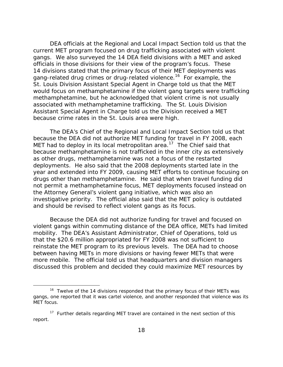DEA officials at the Regional and Local Impact Section told us that the current MET program focused on drug trafficking associated with violent gangs. We also surveyed the 14 DEA field divisions with a MET and asked officials in those divisions for their view of the program's focus. These 14 divisions stated that the primary focus of their MET deployments was gang-related drug crimes or drug-related violence.16 For example, the St. Louis Division Assistant Special Agent in Charge told us that the MET would focus on methamphetamine if the violent gang targets were trafficking methamphetamine, but he acknowledged that violent crime is not usually associated with methamphetamine trafficking. The St. Louis Division Assistant Special Agent in Charge told us the Division received a MET because crime rates in the St. Louis area were high.

The DEA's Chief of the Regional and Local Impact Section told us that because the DEA did not authorize MET funding for travel in FY 2008, each MET had to deploy in its local metropolitan area.<sup>17</sup> The Chief said that because methamphetamine is not trafficked in the inner city as extensively as other drugs, methamphetamine was not a focus of the restarted deployments. He also said that the 2008 deployments started late in the year and extended into FY 2009, causing MET efforts to continue focusing on drugs other than methamphetamine. He said that when travel funding did not permit a methamphetamine focus, MET deployments focused instead on the Attorney General's violent gang initiative, which was also an investigative priority. The official also said that the MET policy is outdated and should be revised to reflect violent gangs as its focus.

Because the DEA did not authorize funding for travel and focused on violent gangs within commuting distance of the DEA office, METs had limited mobility. The DEA's Assistant Administrator, Chief of Operations, told us that the \$20.6 million appropriated for FY 2008 was not sufficient to reinstate the MET program to its previous levels. The DEA had to choose between having METs in more divisions or having fewer METs that were more mobile. The official told us that headquarters and division managers discussed this problem and decided they could maximize MET resources by

MET focus. <sup>16</sup> Twelve of the 14 divisions responded that the primary focus of their METs was gangs, one reported that it was cartel violence, and another responded that violence was its

 $17$  Further details regarding MET travel are contained in the next section of this report.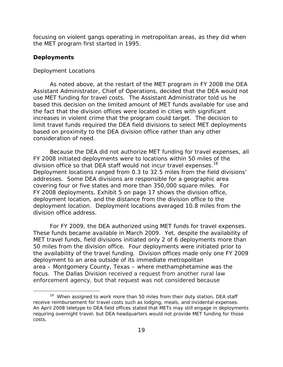<span id="page-34-0"></span>focusing on violent gangs operating in metropolitan areas, as they did when the MET program first started in 1995.

### **Deployments**

 $\overline{a}$ 

## *Deployment Locations*

As noted above, at the restart of the MET program in FY 2008 the DEA Assistant Administrator, Chief of Operations, decided that the DEA would not use MET funding for travel costs. The Assistant Administrator told us he based this decision on the limited amount of MET funds available for use and the fact that the division offices were located in cities with significant increases in violent crime that the program could target. The decision to limit travel funds required the DEA field divisions to select MET deployments based on proximity to the DEA division office rather than any other consideration of need.

division office so that DEA staff would not incur travel expenses.<sup>18</sup> Because the DEA did not authorize MET funding for travel expenses, all FY 2008 initiated deployments were to locations within 50 miles of the Deployment locations ranged from 0.3 to 32.5 miles from the field divisions' addresses. Some DEA divisions are responsible for a geographic area covering four or five states and more than 350,000 square miles. For FY 2008 deployments, Exhibit 5 on page 17 shows the division office, deployment location, and the distance from the division office to the deployment location. Deployment locations averaged 10.8 miles from the division office address.

For FY 2009, the DEA authorized using MET funds for travel expenses. These funds became available in March 2009. Yet, despite the availability of MET travel funds, field divisions initiated only 2 of 6 deployments more than 50 miles from the division office. Four deployments were initiated prior to the availability of the travel funding. Division offices made only one FY 2009 deployment to an area outside of its immediate metropolitan area – Montgomery County, Texas – where methamphetamine was the focus. The Dallas Division received a request from another rural law enforcement agency, but that request was not considered because

 $18$  When assigned to work more than 50 miles from their duty station, DEA staff receive reimbursement for travel costs such as lodging, meals, and incidental expenses. An April 2008 teletype to DEA field offices stated that METs may still engage in deployments requiring overnight travel, but DEA headquarters would not provide MET funding for those costs.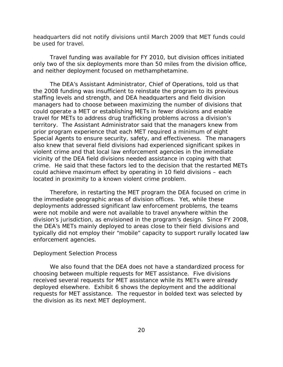<span id="page-35-0"></span>headquarters did not notify divisions until March 2009 that MET funds could be used for travel.

Travel funding was available for FY 2010, but division offices initiated only two of the six deployments more than 50 miles from the division office, and neither deployment focused on methamphetamine.

The DEA's Assistant Administrator, Chief of Operations, told us that the 2008 funding was insufficient to reinstate the program to its previous staffing levels and strength, and DEA headquarters and field division managers had to choose between maximizing the number of divisions that could operate a MET or establishing METs in fewer divisions and enable travel for METs to address drug trafficking problems across a division's territory. The Assistant Administrator said that the managers knew from prior program experience that each MET required a minimum of eight Special Agents to ensure security, safety, and effectiveness. The managers also knew that several field divisions had experienced significant spikes in violent crime and that local law enforcement agencies in the immediate vicinity of the DEA field divisions needed assistance in coping with that crime. He said that these factors led to the decision that the restarted METs could achieve maximum effect by operating in 10 field divisions – each located in proximity to a known violent crime problem.

Therefore, in restarting the MET program the DEA focused on crime in the immediate geographic areas of division offices. Yet, while these deployments addressed significant law enforcement problems, the teams were not mobile and were not available to travel anywhere within the division's jurisdiction, as envisioned in the program's design. Since FY 2008, the DEA's METs mainly deployed to areas close to their field divisions and typically did not employ their "mobile" capacity to support rurally located law enforcement agencies.

#### *Deployment Selection Process*

We also found that the DEA does not have a standardized process for choosing between multiple requests for MET assistance. Five divisions received several requests for MET assistance while its METs were already deployed elsewhere. Exhibit 6 shows the deployment and the additional requests for MET assistance. The requestor in bolded text was selected by the division as its next MET deployment.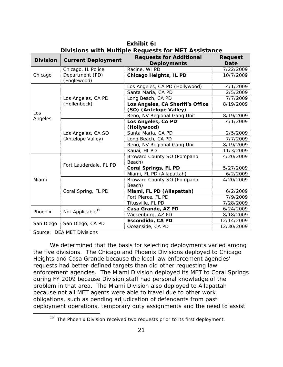| <b>Division</b> | <b>Current Deployment</b>               | <b>Requests for Additional</b><br><b>Deployments</b>       | <b>Request</b><br>Date |
|-----------------|-----------------------------------------|------------------------------------------------------------|------------------------|
|                 | Chicago, IL Police                      | Racine, WI PD                                              | 7/22/2009              |
| Chicago         | Department (PD)<br>(Englewood)          | <b>Chicago Heights, IL PD</b>                              | 10/7/2009              |
|                 |                                         | Los Angeles, CA PD (Hollywood)                             | 4/1/2009               |
|                 |                                         | Santa Maria, CA PD                                         | 2/5/2009               |
|                 | Los Angeles, CA PD                      | Long Beach, CA PD                                          | 7/7/2009               |
|                 | (Hollenbeck)                            | Los Angeles, CA Sheriff's Office<br>(SO) (Antelope Valley) | 8/19/2009              |
| Los             |                                         | Reno, NV Regional Gang Unit                                | 8/19/2009              |
| Angeles         |                                         | Los Angeles, CA PD<br>(Hollywood)                          | 4/1/2009               |
|                 | Los Angeles, CA SO<br>(Antelope Valley) | Santa Maria, CA PD                                         | 2/5/2009               |
|                 |                                         | Long Beach, CA PD                                          | 7/7/2009               |
|                 |                                         | Reno, NV Regional Gang Unit                                | 8/19/2009              |
|                 |                                         | Kauai, HI PD                                               | 11/3/2009              |
| Miami           |                                         | Broward County SO (Pompano<br>Beach)                       | 4/20/2009              |
|                 | Fort Lauderdale, FL PD                  | <b>Coral Springs, FL PD</b>                                | 5/27/2009              |
|                 |                                         | Miami, FL PD (Allapattah)                                  | 6/2/2009               |
|                 |                                         | Broward County SO (Pompano<br>Beach)                       | 4/20/2009              |
|                 | Coral Spring, FL PD                     | Miami, FL PD (Allapattah)                                  | 6/2/2009               |
|                 |                                         | Fort Pierce, FL PD                                         | 7/9/2009               |
|                 |                                         | Titusville, FL PD                                          | 7/28/2009              |
| Phoenix         | Not Applicable <sup>19</sup>            | Casa Grande, AZ PD                                         | 6/24/2009              |
|                 |                                         | Wickenburg, AZ PD                                          | 8/18/2009              |
|                 | San Diego, CA PD                        | Escondido, CA PD                                           | 12/14/2009             |
| San Diego       |                                         | Oceanside, CA PD                                           | 12/30/2009             |

**Exhibit 6: Divisions with Multiple Requests for MET Assistance** 

Source: DEA MET Divisions

 $\overline{a}$ 

We determined that the basis for selecting deployments varied among the five divisions. The Chicago and Phoenix Divisions deployed to Chicago Heights and Casa Grande because the local law enforcement agencies' requests had better-defined targets than did other requesting law enforcement agencies. The Miami Division deployed its MET to Coral Springs during FY 2009 because Division staff had personal knowledge of the problem in that area. The Miami Division also deployed to Allapattah because not all MET agents were able to travel due to other work obligations, such as pending adjudication of defendants from past deployment operations, temporary duty assignments and the need to assist

<sup>&</sup>lt;sup>19</sup> The Phoenix Division received two requests prior to its first deployment.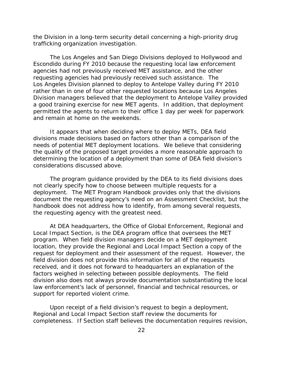the Division in a long-term security detail concerning a high-priority drug trafficking organization investigation.

The Los Angeles and San Diego Divisions deployed to Hollywood and Escondido during FY 2010 because the requesting local law enforcement agencies had not previously received MET assistance, and the other requesting agencies had previously received such assistance. The Los Angeles Division planned to deploy to Antelope Valley during FY 2010 rather than in one of four other requested locations because Los Angeles Division managers believed that the deployment to Antelope Valley provided a good training exercise for new MET agents. In addition, that deployment permitted the agents to return to their office 1 day per week for paperwork and remain at home on the weekends.

It appears that when deciding where to deploy METs, DEA field divisions made decisions based on factors other than a comparison of the needs of potential MET deployment locations. We believe that considering the quality of the proposed target provides a more reasonable approach to determining the location of a deployment than some of DEA field division's considerations discussed above.

The program guidance provided by the DEA to its field divisions does not clearly specify how to choose between multiple requests for a deployment. The MET Program Handbook provides only that the divisions document the requesting agency's need on an Assessment Checklist, but the handbook does not address how to identify, from among several requests, the requesting agency with the greatest need.

At DEA headquarters, the Office of Global Enforcement, Regional and Local Impact Section, is the DEA program office that oversees the MET program. When field division managers decide on a MET deployment location, they provide the Regional and Local Impact Section a copy of the request for deployment and their assessment of the request. However, the field division does not provide this information for all of the requests received, and it does not forward to headquarters an explanation of the factors weighed in selecting between possible deployments. The field division also does not always provide documentation substantiating the local law enforcement's lack of personnel, financial and technical resources, or support for reported violent crime.

Upon receipt of a field division's request to begin a deployment, Regional and Local Impact Section staff review the documents for completeness. If Section staff believes the documentation requires revision,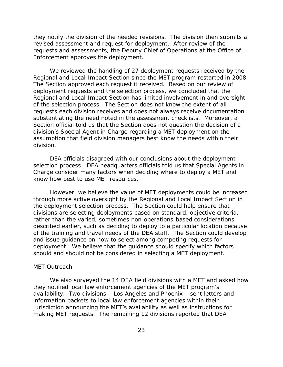<span id="page-38-0"></span>they notify the division of the needed revisions. The division then submits a revised assessment and request for deployment. After review of the requests and assessments, the Deputy Chief of Operations at the Office of Enforcement approves the deployment.

We reviewed the handling of 27 deployment requests received by the Regional and Local Impact Section since the MET program restarted in 2008. The Section approved each request it received. Based on our review of deployment requests and the selection process, we concluded that the Regional and Local Impact Section has limited involvement in and oversight of the selection process. The Section does not know the extent of all requests each division receives and does not always receive documentation substantiating the need noted in the assessment checklists. Moreover, a Section official told us that the Section does not question the decision of a division's Special Agent in Charge regarding a MET deployment on the assumption that field division managers best know the needs within their division.

DEA officials disagreed with our conclusions about the deployment selection process. DEA headquarters officials told us that Special Agents in Charge consider many factors when deciding where to deploy a MET and know how best to use MET resources.

However, we believe the value of MET deployments could be increased through more active oversight by the Regional and Local Impact Section in the deployment selection process. The Section could help ensure that divisions are selecting deployments based on standard, objective criteria, rather than the varied, sometimes non-operations-based considerations described earlier, such as deciding to deploy to a particular location because of the training and travel needs of the DEA staff. The Section could develop and issue guidance on how to select among competing requests for deployment. We believe that the guidance should specify which factors should and should not be considered in selecting a MET deployment.

### *MET Outreach*

We also surveyed the 14 DEA field divisions with a MET and asked how they notified local law enforcement agencies of the MET program's availability. Two divisions – Los Angeles and Phoenix – sent letters and information packets to local law enforcement agencies within their jurisdiction announcing the MET's availability as well as instructions for making MET requests. The remaining 12 divisions reported that DEA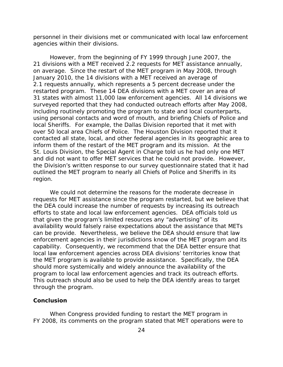personnel in their divisions met or communicated with local law enforcement agencies within their divisions.

However, from the beginning of FY 1999 through June 2007, the 21 divisions with a MET received 2.2 requests for MET assistance annually, on average. Since the restart of the MET program in May 2008, through January 2010, the 14 divisions with a MET received an average of 2.1 requests annually, which represents a 5 percent decrease under the restarted program. These 14 DEA divisions with a MET cover an area of 31 states with almost 11,000 law enforcement agencies. All 14 divisions we surveyed reported that they had conducted outreach efforts after May 2008, including routinely promoting the program to state and local counterparts, using personal contacts and word of mouth, and briefing Chiefs of Police and local Sheriffs. For example, the Dallas Division reported that it met with over 50 local area Chiefs of Police. The Houston Division reported that it contacted all state, local, and other federal agencies in its geographic area to inform them of the restart of the MET program and its mission. At the St. Louis Division, the Special Agent in Charge told us he had only one MET and did not want to offer MET services that he could not provide. However, the Division's written response to our survey questionnaire stated that it had outlined the MET program to nearly all Chiefs of Police and Sheriffs in its region.

We could not determine the reasons for the moderate decrease in requests for MET assistance since the program restarted, but we believe that the DEA could increase the number of requests by increasing its outreach efforts to state and local law enforcement agencies. DEA officials told us that given the program's limited resources any "advertising" of its availability would falsely raise expectations about the assistance that METs can be provide. Nevertheless, we believe the DEA should ensure that law enforcement agencies in their jurisdictions know of the MET program and its capability. Consequently, we recommend that the DEA better ensure that local law enforcement agencies across DEA divisions' territories know that the MET program is available to provide assistance. Specifically, the DEA should more systemically and widely announce the availability of the program to local law enforcement agencies and track its outreach efforts. This outreach should also be used to help the DEA identify areas to target through the program.

#### **Conclusion**

When Congress provided funding to restart the MET program in FY 2008, its comments on the program stated that MET operations were to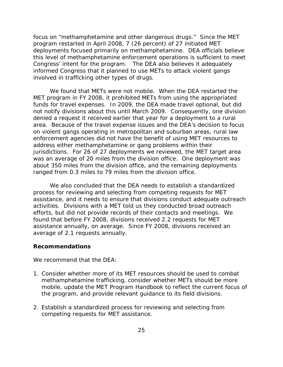focus on "methamphetamine and other dangerous drugs." Since the MET program restarted in April 2008, 7 (26 percent) of 27 initiated MET deployments focused primarily on methamphetamine. DEA officials believe this level of methamphetamine enforcement operations is sufficient to meet Congress' intent for the program. The DEA also believes it adequately informed Congress that it planned to use METs to attack violent gangs involved in trafficking other types of drugs.

We found that METs were not mobile. When the DEA restarted the MET program in FY 2008, it prohibited METs from using the appropriated funds for travel expenses. In 2009, the DEA made travel optional, but did not notify divisions about this until March 2009. Consequently, one division denied a request it received earlier that year for a deployment to a rural area. Because of the travel expense issues and the DEA's decision to focus on violent gangs operating in metropolitan and suburban areas, rural law enforcement agencies did not have the benefit of using MET resources to address either methamphetamine or gang problems within their jurisdictions. For 26 of 27 deployments we reviewed, the MET target area was an average of 20 miles from the division office. One deployment was about 350 miles from the division office, and the remaining deployments ranged from 0.3 miles to 79 miles from the division office.

We also concluded that the DEA needs to establish a standardized process for reviewing and selecting from competing requests for MET assistance, and it needs to ensure that divisions conduct adequate outreach activities. Divisions with a MET told us they conducted broad outreach efforts, but did not provide records of their contacts and meetings. We found that before FY 2008, divisions received 2.2 requests for MET assistance annually, on average. Since FY 2008, divisions received an average of 2.1 requests annually.

#### **Recommendations**

We recommend that the DEA:

- 1. Consider whether more of its MET resources should be used to combat methamphetamine trafficking, consider whether METs should be more mobile, update the MET Program Handbook to reflect the current focus of the program, and provide relevant guidance to its field divisions.
- 2. Establish a standardized process for reviewing and selecting from competing requests for MET assistance.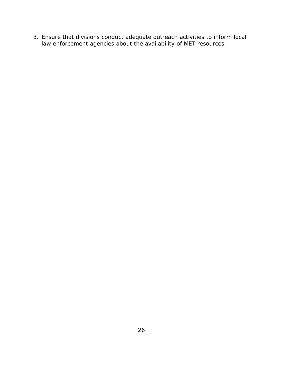3. Ensure that divisions conduct adequate outreach activities to inform local law enforcement agencies about the availability of MET resources.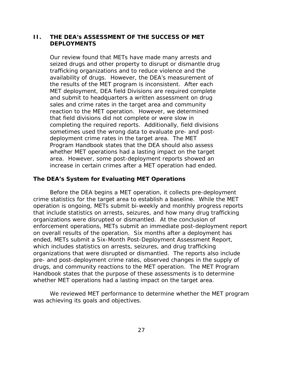## **II. THE DEA's ASSESSMENT OF THE SUCCESS OF MET DEPLOYMENTS**

Our review found that METs have made many arrests and seized drugs and other property to disrupt or dismantle drug trafficking organizations and to reduce violence and the availability of drugs. However, the DEA's measurement of the results of the MET program is inconsistent. After each MET deployment, DEA field Divisions are required complete and submit to headquarters a written assessment on drug sales and crime rates in the target area and community reaction to the MET operation. However, we determined that field divisions did not complete or were slow in completing the required reports. Additionally, field divisions sometimes used the wrong data to evaluate pre- and postdeployment crime rates in the target area. The MET Program Handbook states that the DEA should also assess whether MET operations had a lasting impact on the target area. However, some post-deployment reports showed an increase in certain crimes after a MET operation had ended.

### **The DEA's System for Evaluating MET Operations**

Before the DEA begins a MET operation, it collects pre-deployment crime statistics for the target area to establish a baseline. While the MET operation is ongoing, METs submit bi-weekly and monthly progress reports that include statistics on arrests, seizures, and how many drug trafficking organizations were disrupted or dismantled. At the conclusion of enforcement operations, METs submit an immediate post-deployment report on overall results of the operation. Six months after a deployment has ended, METs submit a Six-Month Post-Deployment Assessment Report, which includes statistics on arrests, seizures, and drug trafficking organizations that were disrupted or dismantled. The reports also include pre- and post-deployment crime rates, observed changes in the supply of drugs, and community reactions to the MET operation. The MET Program Handbook states that the purpose of these assessments is to determine whether MET operations had a lasting impact on the target area.

We reviewed MET performance to determine whether the MET program was achieving its goals and objectives.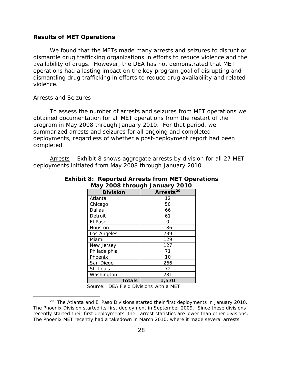#### **Results of MET Operations**

We found that the METs made many arrests and seizures to disrupt or dismantle drug trafficking organizations in efforts to reduce violence and the availability of drugs. However, the DEA has not demonstrated that MET operations had a lasting impact on the key program goal of disrupting and dismantling drug trafficking in efforts to reduce drug availability and related violence.

### *Arrests and Seizures*

 $\overline{a}$ 

To assess the number of arrests and seizures from MET operations we obtained documentation for all MET operations from the restart of the program in May 2008 through January 2010. For that period, we summarized arrests and seizures for all ongoing and completed deployments, regardless of whether a post-deployment report had been completed.

Arrests – Exhibit 8 shows aggregate arrests by division for all 27 MET deployments initiated from May 2008 through January 2010.

| iviay 2000 tilibagii January 2010 |               |                       |  |  |  |  |
|-----------------------------------|---------------|-----------------------|--|--|--|--|
| <b>Division</b>                   |               | Arrests <sup>20</sup> |  |  |  |  |
| Atlanta                           |               | 12                    |  |  |  |  |
| Chicago                           |               | 50                    |  |  |  |  |
| Dallas                            |               | 66                    |  |  |  |  |
| Detroit                           |               | 61                    |  |  |  |  |
| El Paso                           |               | Ω                     |  |  |  |  |
| Houston                           |               | 186                   |  |  |  |  |
| Los Angeles                       |               | 239                   |  |  |  |  |
| Miami                             |               | 129                   |  |  |  |  |
| New Jersey                        |               | 127                   |  |  |  |  |
| Philadelphia                      |               | 71                    |  |  |  |  |
| Phoenix                           |               | 10                    |  |  |  |  |
| San Diego                         |               | 266                   |  |  |  |  |
| St. Louis                         |               | 72                    |  |  |  |  |
| Washington                        |               | 281                   |  |  |  |  |
|                                   | <b>Totals</b> | 1,570                 |  |  |  |  |

**Exhibit 8: Reported Arrests from MET Operations May 2008 through January 2010** 

Source: DEA Field Divisions with a MET

<sup>&</sup>lt;sup>20</sup> The Atlanta and El Paso Divisions started their first deployments in January 2010. The Phoenix Division started its first deployment in September 2009. Since these divisions recently started their first deployments, their arrest statistics are lower than other divisions. The Phoenix MET recently had a takedown in March 2010, where it made several arrests.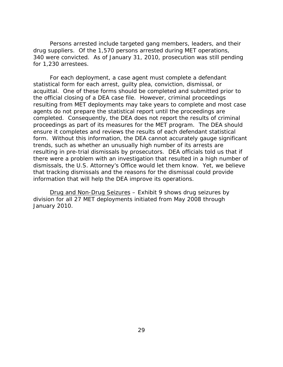<span id="page-44-0"></span>for 1,230 arrestees. Persons arrested include targeted gang members, leaders, and their drug suppliers. Of the 1,570 persons arrested during MET operations, 340 were convicted. As of January 31, 2010, prosecution was still pending

For each deployment, a case agent must complete a defendant statistical form for each arrest, guilty plea, conviction, dismissal, or acquittal. One of these forms should be completed and submitted prior to the official closing of a DEA case file. However, criminal proceedings resulting from MET deployments may take years to complete and most case agents do not prepare the statistical report until the proceedings are completed. Consequently, the DEA does not report the results of criminal proceedings as part of its measures for the MET program. The DEA should ensure it completes and reviews the results of each defendant statistical form. Without this information, the DEA cannot accurately gauge significant trends, such as whether an unusually high number of its arrests are resulting in pre-trial dismissals by prosecutors. DEA officials told us that if there were a problem with an investigation that resulted in a high number of dismissals, the U.S. Attorney's Office would let them know. Yet, we believe that tracking dismissals and the reasons for the dismissal could provide information that will help the DEA improve its operations.

Drug and Non-Drug Seizures – Exhibit 9 shows drug seizures by division for all 27 MET deployments initiated from May 2008 through January 2010.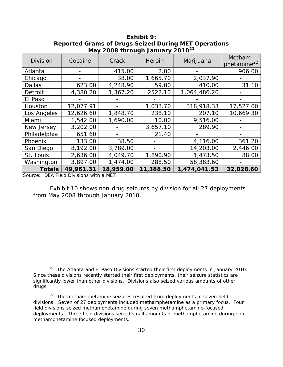| <b>Division</b> | Cocaine   | Crack     | Heroin    | Marijuana    | Metham-<br>phetamine <sup>22</sup> |
|-----------------|-----------|-----------|-----------|--------------|------------------------------------|
| Atlanta         |           | 415.00    | 2.00      |              | 906.00                             |
| Chicago         |           | 38.00     | 1,665.70  | 2,037.90     |                                    |
| <b>Dallas</b>   | 623.00    | 4,248.90  | 59.00     | 410.00       | 31.10                              |
| Detroit         | 4,380.20  | 1,367.20  | 2522.10   | 1,064,486.20 |                                    |
| El Paso         |           |           |           |              |                                    |
| Houston         | 12,077.91 |           | 1,033.70  | 318,918.33   | 17,527.00                          |
| Los Angeles     | 12,626.60 | 1,848.70  | 238.10    | 207.10       | 10,669.30                          |
| Miami           | 1,542.00  | 1,690.00  | 10.00     | 9,516.00     |                                    |
| New Jersey      | 3,202.00  |           | 3,657.10  | 289.90       |                                    |
| Philadelphia    | 651.60    |           | 21.40     |              |                                    |
| Phoenix         | 133.00    | 38.50     |           | 4,116.00     | 361.20                             |
| San Diego       | 8,192.00  | 3,789.00  |           | 14,203.00    | 2,446.00                           |
| St. Louis       | 2,636.00  | 4,049.70  | 1,890.90  | 1,473.50     | 88.00                              |
| Washington      | 3,897.00  | 1,474.00  | 288.50    | 58,383.60    |                                    |
| <b>Totals</b>   | 49,961.31 | 18,959.00 | 11,388.50 | 1,474,041.53 | 32,028.60                          |

**Exhibit 9: Reported Grams of Drugs Seized During MET Operations May 2008 through January 2010<sup>21</sup>**

Source: DEA Field Divisions with a MET

 $\overline{a}$ 

Exhibit 10 shows non-drug seizures by division for all 27 deployments from May 2008 through January 2010.

 $21$  The Atlanta and El Paso Divisions started their first deployments in January 2010. Since these divisions recently started their first deployments, their seizure statistics are significantly lower than other divisions. Divisions also seized various amounts of other drugs.

<sup>&</sup>lt;sup>22</sup> The methamphetamine seizures resulted from deployments in seven field divisions. Seven of 27 deployments included methamphetamine as a primary focus. Four field divisions seized methamphetamine during seven methamphetamine-focused deployments. Three field divisions seized small amounts of methamphetamine during nonmethamphetamine focused deployments.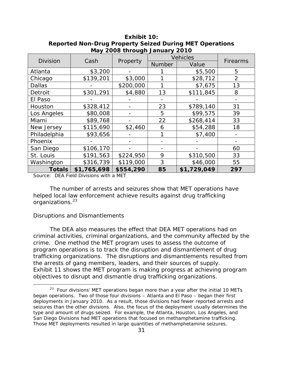| <b>Division</b> | Cash        |           | <b>Vehicles</b> |             |                 |  |
|-----------------|-------------|-----------|-----------------|-------------|-----------------|--|
|                 |             | Property  | <b>Number</b>   | Value       | <b>Firearms</b> |  |
| Atlanta         | \$3,200     |           |                 | \$5,500     | 5               |  |
| Chicago         | \$139,201   | \$3,000   |                 | \$28,712    | $\overline{2}$  |  |
| <b>Dallas</b>   |             | \$200,000 |                 | \$7,675     | 13              |  |
| Detroit         | \$301,291   | \$4,880   | 13              | \$111,845   | 8               |  |
| El Paso         |             |           |                 |             |                 |  |
| Houston         | \$328,412   |           | 23              | \$789,140   | 31              |  |
| Los Angeles     | \$80,008    |           | 5               | \$99,575    | 39              |  |
| Miami           | \$89,768    |           | 22              | \$268,414   | 33              |  |
| New Jersey      | \$115,690   | \$2,460   | 6               | \$54,288    | 18              |  |
| Philadelphia    | \$93,656    |           |                 | \$7,400     |                 |  |
| Phoenix         |             |           |                 |             |                 |  |
| San Diego       | \$106,170   |           |                 |             | 60              |  |
| St. Louis       | \$191,563   | \$224,950 | 9               | \$310,500   | 33              |  |
| Washington      | \$316,739   | \$119,000 | 3               | \$46,000    | 55              |  |
| <b>Totals</b>   | \$1,765,698 | \$554,290 | 85              | \$1,729,049 | 297             |  |

**Exhibit 10: Reported Non-Drug Property Seized During MET Operations May 2008 through January 2010** 

Source: DEA Field Divisions with a MET

organizations.<sup>23</sup> The number of arrests and seizures show that MET operations have helped local law enforcement achieve results against drug trafficking

#### *Disruptions and Dismantlements*

 $\overline{a}$ 

objectives to disrupt and dismantle drug trafficking organizations. The DEA also measures the effect that DEA MET operations had on criminal activities, criminal organizations, and the community affected by the crime. One method the MET program uses to assess the outcome of program operations is to track the disruption and dismantlement of drug trafficking organizations. The disruptions and dismantlements resulted from the arrests of gang members, leaders, and their sources of supply. Exhibit 11 shows the MET program is making progress at achieving program

 $23$  Four divisions' MET operations began more than a year after the initial 10 METs began operations. Two of those four divisions – Atlanta and El Paso – began their first deployments in January 2010. As a result, those divisions had fewer reported arrests and seizures than the other divisions. Also, the focus of the deployment usually determines the type and amount of drugs seized. For example, the Atlanta, Houston, Los Angeles, and San Diego Divisions had MET operations that focused on methamphetamine trafficking. Those MET deployments resulted in large quantities of methamphetamine seizures.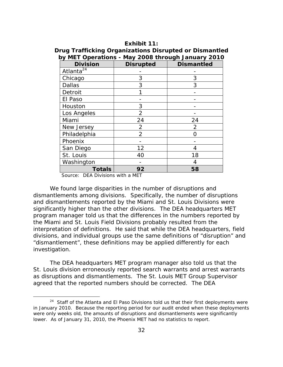### **Exhibit 11:**

#### **Drug Trafficking Organizations Disrupted or Dismantled by MET Operations - May 2008 through January 2010**

| <b>Division</b>       | <b>Disrupted</b> | <b>Dismantled</b> |
|-----------------------|------------------|-------------------|
| Atlanta <sup>24</sup> |                  |                   |
| Chicago               | 3                | 3                 |
| <b>Dallas</b>         | 3                | 3                 |
| Detroit               |                  |                   |
| El Paso               |                  |                   |
| Houston               | 3                |                   |
| Los Angeles           | 2                |                   |
| Miami                 | 24               | 24                |
| New Jersey            | $\overline{2}$   | $\overline{2}$    |
| Philadelphia          | $\overline{2}$   | O                 |
| Phoenix               |                  |                   |
| San Diego             | 12               | 4                 |
| St. Louis             | 40               | 18                |
| Washington            |                  | 4                 |
| <b>Totals</b>         | 92               | 58                |

Source: DEA Divisions with a MET

 $\overline{a}$ 

We found large disparities in the number of disruptions and dismantlements among divisions. Specifically, the number of disruptions and dismantlements reported by the Miami and St. Louis Divisions were significantly higher than the other divisions. The DEA headquarters MET program manager told us that the differences in the numbers reported by the Miami and St. Louis Field Divisions probably resulted from the interpretation of definitions. He said that while the DEA headquarters, field divisions, and individual groups use the same definitions of "disruption" and "dismantlement", these definitions may be applied differently for each investigation.

The DEA headquarters MET program manager also told us that the St. Louis division erroneously reported search warrants and arrest warrants as disruptions and dismantlements. The St. Louis MET Group Supervisor agreed that the reported numbers should be corrected. The DEA

<sup>&</sup>lt;sup>24</sup> Staff of the Atlanta and El Paso Divisions told us that their first deployments were in January 2010. Because the reporting period for our audit ended when these deployments were only weeks old, the amounts of disruptions and dismantlements were significantly lower. As of January 31, 2010, the Phoenix MET had no statistics to report.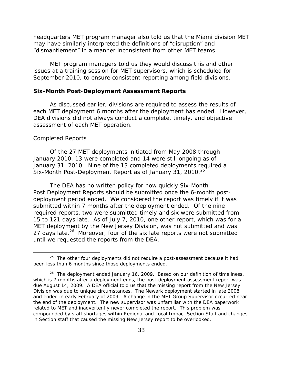headquarters MET program manager also told us that the Miami division MET may have similarly interpreted the definitions of "disruption" and "dismantlement" in a manner inconsistent from other MET teams.

MET program managers told us they would discuss this and other issues at a training session for MET supervisors, which is scheduled for September 2010, to ensure consistent reporting among field divisions.

#### **Six-Month Post-Deployment Assessment Reports**

As discussed earlier, divisions are required to assess the results of each MET deployment 6 months after the deployment has ended. However, DEA divisions did not always conduct a complete, timely, and objective assessment of each MET operation.

#### *Completed Reports*

 $\overline{a}$ 

Six-Month Post-Deployment Report as of January 31, 2010.<sup>25</sup> Of the 27 MET deployments initiated from May 2008 through January 2010, 13 were completed and 14 were still ongoing as of January 31, 2010. Nine of the 13 completed deployments required a

The DEA has no written policy for how quickly Six-Month Post Deployment Reports should be submitted once the 6-month postdeployment period ended. We considered the report was timely if it was submitted within 7 months after the deployment ended. Of the nine required reports, two were submitted timely and six were submitted from 15 to 121 days late. As of July 7, 2010, one other report, which was for a MET deployment by the New Jersey Division, was not submitted and was 27 days late.<sup>26</sup> Moreover, four of the six late reports were not submitted until we requested the reports from the DEA.

 $25$  The other four deployments did not require a post-assessment because it had been less than 6 months since those deployments ended.

 $26$  The deployment ended January 16, 2009. Based on our definition of timeliness, which is 7 months after a deployment ends, the post-deployment assessment report was due August 14, 2009. A DEA official told us that the missing report from the New Jersey Division was due to unique circumstances. The Newark deployment started in late 2008 and ended in early February of 2009. A change in the MET Group Supervisor occurred near the end of the deployment. The new supervisor was unfamiliar with the DEA paperwork related to MET and inadvertently never completed the report. This problem was compounded by staff shortages within Regional and Local Impact Section Staff and changes in Section staff that caused the missing New Jersey report to be overlooked.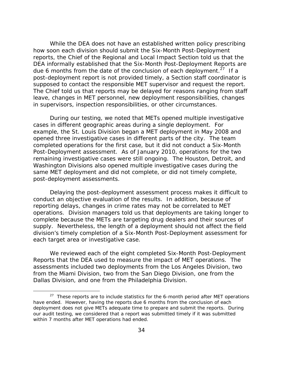in supervisors, inspection responsibilities, or other circumstances. While the DEA does not have an established written policy prescribing how soon each division should submit the Six-Month Post-Deployment reports, the Chief of the Regional and Local Impact Section told us that the DEA informally established that the Six-Month Post-Deployment Reports are due 6 months from the date of the conclusion of each deployment.<sup>27</sup> If a post-deployment report is not provided timely, a Section staff coordinator is supposed to contact the responsible MET supervisor and request the report. The Chief told us that reports may be delayed for reasons ranging from staff leave, changes in MET personnel, new deployment responsibilities, changes

During our testing, we noted that METs opened multiple investigative cases in different geographic areas during a single deployment. For example, the St. Louis Division began a MET deployment in May 2008 and opened three investigative cases in different parts of the city. The team completed operations for the first case, but it did not conduct a Six-Month Post-Deployment assessment. As of January 2010, operations for the two remaining investigative cases were still ongoing. The Houston, Detroit, and Washington Divisions also opened multiple investigative cases during the same MET deployment and did not complete, or did not timely complete, post-deployment assessments.

each target area or investigative case. Delaying the post-deployment assessment process makes it difficult to conduct an objective evaluation of the results. In addition, because of reporting delays, changes in crime rates may not be correlated to MET operations. Division managers told us that deployments are taking longer to complete because the METs are targeting drug dealers and their sources of supply. Nevertheless, the length of a deployment should not affect the field division's timely completion of a Six-Month Post-Deployment assessment for

We reviewed each of the eight completed Six-Month Post-Deployment Reports that the DEA used to measure the impact of MET operations. The assessments included two deployments from the Los Angeles Division, two from the Miami Division, two from the San Diego Division, one from the Dallas Division, and one from the Philadelphia Division.

 $\overline{a}$ 

 $27$  These reports are to include statistics for the 6-month period after MET operations have ended. However, having the reports due 6 months from the conclusion of each deployment does not give METs adequate time to prepare and submit the reports. During our audit testing, we considered that a report was submitted timely if it was submitted within 7 months after MET operations had ended.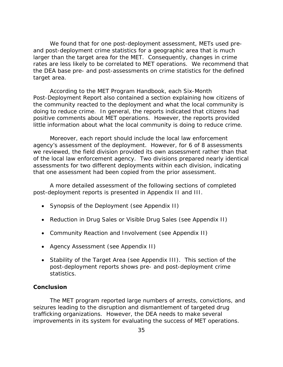We found that for one post-deployment assessment, METs used preand post-deployment crime statistics for a geographic area that is much larger than the target area for the MET. Consequently, changes in crime rates are less likely to be correlated to MET operations. We recommend that the DEA base pre- and post-assessments on crime statistics for the defined target area.

According to the MET Program Handbook, each Six-Month Post-Deployment Report also contained a section explaining how citizens of the community reacted to the deployment and what the local community is doing to reduce crime. In general, the reports indicated that citizens had positive comments about MET operations. However, the reports provided little information about what the local community is doing to reduce crime.

Moreover, each report should include the local law enforcement agency's assessment of the deployment. However, for 6 of 8 assessments we reviewed, the field division provided its own assessment rather than that of the local law enforcement agency. Two divisions prepared nearly identical assessments for two different deployments within each division, indicating that one assessment had been copied from the prior assessment.

A more detailed assessment of the following sections of completed post-deployment reports is presented in Appendix II and III.

- Synopsis of the Deployment (see Appendix II)
- Reduction in Drug Sales or Visible Drug Sales (see Appendix II)
- Community Reaction and Involvement (see Appendix II)
- Agency Assessment (see Appendix II)
- Stability of the Target Area (see Appendix III). This section of the post-deployment reports shows pre- and post-deployment crime statistics.

### **Conclusion**

The MET program reported large numbers of arrests, convictions, and seizures leading to the disruption and dismantlement of targeted drug trafficking organizations. However, the DEA needs to make several improvements in its system for evaluating the success of MET operations.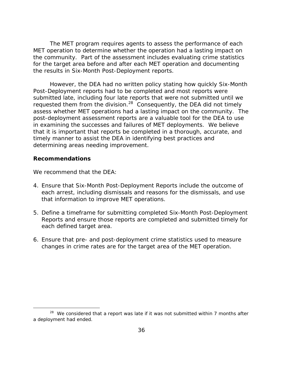The MET program requires agents to assess the performance of each MET operation to determine whether the operation had a lasting impact on the community. Part of the assessment includes evaluating crime statistics for the target area before and after each MET operation and documenting the results in Six-Month Post-Deployment reports.

However, the DEA had no written policy stating how quickly Six-Month Post-Deployment reports had to be completed and most reports were submitted late, including four late reports that were not submitted until we requested them from the division.<sup>28</sup> Consequently, the DEA did not timely assess whether MET operations had a lasting impact on the community. The post-deployment assessment reports are a valuable tool for the DEA to use in examining the successes and failures of MET deployments. We believe that it is important that reports be completed in a thorough, accurate, and timely manner to assist the DEA in identifying best practices and determining areas needing improvement.

#### **Recommendations**

 $\overline{a}$ 

We recommend that the DFA:

- 4. Ensure that Six-Month Post-Deployment Reports include the outcome of each arrest, including dismissals and reasons for the dismissals, and use that information to improve MET operations.
- 5. Define a timeframe for submitting completed Six-Month Post-Deployment Reports and ensure those reports are completed and submitted timely for each defined target area.
- 6. Ensure that pre- and post-deployment crime statistics used to measure changes in crime rates are for the target area of the MET operation.

 $28$  We considered that a report was late if it was not submitted within 7 months after a deployment had ended.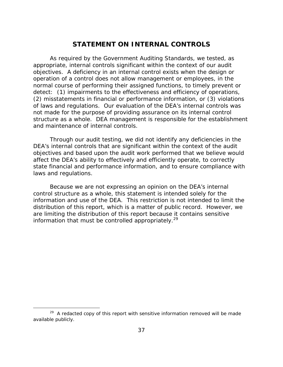# **STATEMENT ON INTERNAL CONTROLS**

As required by the *Government Auditing Standards*, we tested, as appropriate, internal controls significant within the context of our audit objectives. A deficiency in an internal control exists when the design or operation of a control does not allow management or employees, in the normal course of performing their assigned functions, to timely prevent or detect: (1) impairments to the effectiveness and efficiency of operations, (2) misstatements in financial or performance information, or (3) violations of laws and regulations. Our evaluation of the DEA's internal controls was *not* made for the purpose of providing assurance on its internal control structure as a whole. DEA management is responsible for the establishment and maintenance of internal controls.

Through our audit testing, we did not identify any deficiencies in the DEA's internal controls that are significant within the context of the audit objectives and based upon the audit work performed that we believe would affect the DEA's ability to effectively and efficiently operate, to correctly state financial and performance information, and to ensure compliance with laws and regulations.

Because we are not expressing an opinion on the DEA's internal control structure as a whole, this statement is intended solely for the information and use of the DEA. This restriction is not intended to limit the distribution of this report, which is a matter of public record. However, we are limiting the distribution of this report because it contains sensitive information that must be controlled appropriately.<sup>29</sup>

 $\overline{a}$ 

 $29$  A redacted copy of this report with sensitive information removed will be made available publicly.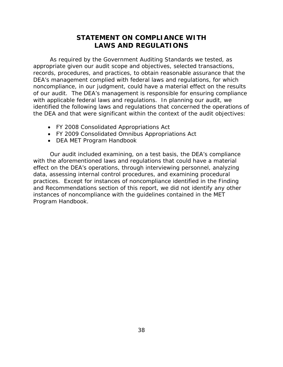# **STATEMENT ON COMPLIANCE WITH LAWS AND REGULATIONS**

As required by the *Government Auditing Standards* we tested, as appropriate given our audit scope and objectives, selected transactions, records, procedures, and practices, to obtain reasonable assurance that the DEA's management complied with federal laws and regulations, for which noncompliance, in our judgment, could have a material effect on the results of our audit. The DEA's management is responsible for ensuring compliance with applicable federal laws and regulations. In planning our audit, we identified the following laws and regulations that concerned the operations of the DEA and that were significant within the context of the audit objectives:

- FY 2008 Consolidated Appropriations Act
- FY 2009 Consolidated Omnibus Appropriations Act
- DEA MET Program Handbook

Our audit included examining, on a test basis, the DEA's compliance with the aforementioned laws and regulations that could have a material effect on the DEA's operations, through interviewing personnel, analyzing data, assessing internal control procedures, and examining procedural practices. Except for instances of noncompliance identified in the Finding and Recommendations section of this report, we did not identify any other instances of noncompliance with the guidelines contained in the MET Program Handbook.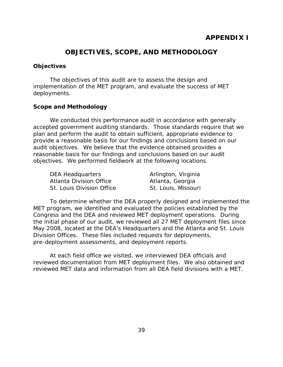# **OBJECTIVES, SCOPE, AND METHODOLOGY**

## **Objectives**

The objectives of this audit are to assess the design and implementation of the MET program, and evaluate the success of MET deployments.

## **Scope and Methodology**

We conducted this performance audit in accordance with generally accepted government auditing standards. Those standards require that we plan and perform the audit to obtain sufficient, appropriate evidence to provide a reasonable basis for our findings and conclusions based on our audit objectives. We believe that the evidence obtained provides a reasonable basis for our findings and conclusions based on our audit objectives. We performed fieldwork at the following locations.

| DEA Headquarters               |  |  |  |  |
|--------------------------------|--|--|--|--|
| <b>Atlanta Division Office</b> |  |  |  |  |
| St. Louis Division Office      |  |  |  |  |

Arlington, Virginia Atlanta, Georgia St. Louis, Missouri

To determine whether the DEA properly designed and implemented the MET program, we identified and evaluated the policies established by the Congress and the DEA and reviewed MET deployment operations. During the initial phase of our audit, we reviewed all 27 MET deployment files since May 2008, located at the DEA's Headquarters and the Atlanta and St. Louis Division Offices. These files included requests for deployments, pre-deployment assessments, and deployment reports.

At each field office we visited, we interviewed DEA officials and reviewed documentation from MET deployment files. We also obtained and reviewed MET data and information from all DEA field divisions with a MET.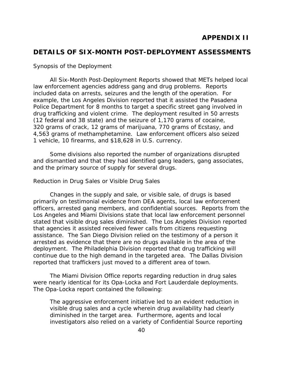# <span id="page-55-0"></span>**DETAILS OF SIX-MONTH POST-DEPLOYMENT ASSESSMENTS**

### *Synopsis of the Deployment*

All Six-Month Post-Deployment Reports showed that METs helped local law enforcement agencies address gang and drug problems. Reports included data on arrests, seizures and the length of the operation. For example, the Los Angeles Division reported that it assisted the Pasadena Police Department for 8 months to target a specific street gang involved in drug trafficking and violent crime. The deployment resulted in 50 arrests (12 federal and 38 state) and the seizure of 1,170 grams of cocaine, 320 grams of crack, 12 grams of marijuana, 770 grams of Ecstasy, and 4,563 grams of methamphetamine. Law enforcement officers also seized 1 vehicle, 10 firearms, and \$18,628 in U.S. currency.

Some divisions also reported the number of organizations disrupted and dismantled and that they had identified gang leaders, gang associates, and the primary source of supply for several drugs.

### *Reduction in Drug Sales or Visible Drug Sales*

Changes in the supply and sale, or visible sale, of drugs is based primarily on testimonial evidence from DEA agents, local law enforcement officers, arrested gang members, and confidential sources. Reports from the Los Angeles and Miami Divisions state that local law enforcement personnel stated that visible drug sales diminished. The Los Angeles Division reported that agencies it assisted received fewer calls from citizens requesting assistance. The San Diego Division relied on the testimony of a person it arrested as evidence that there are no drugs available in the area of the deployment. The Philadelphia Division reported that drug trafficking will continue due to the high demand in the targeted area. The Dallas Division reported that traffickers just moved to a different area of town.

The Miami Division Office reports regarding reduction in drug sales were nearly identical for its Opa-Locka and Fort Lauderdale deployments. The Opa-Locka report contained the following:

The aggressive enforcement initiative led to an evident reduction in visible drug sales and a cycle wherein drug availability had clearly diminished in the target area. Furthermore, agents and local investigators also relied on a variety of Confidential Source reporting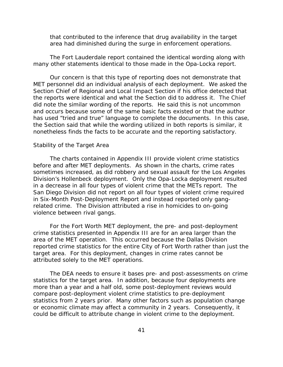that contributed to the inference that drug availability in the target area had diminished during the surge in enforcement operations.

The Fort Lauderdale report contained the identical wording along with many other statements identical to those made in the Opa-Locka report.

Our concern is that this type of reporting does not demonstrate that MET personnel did an individual analysis of each deployment. We asked the Section Chief of Regional and Local Impact Section if his office detected that the reports were identical and what the Section did to address it. The Chief did note the similar wording of the reports. He said this is not uncommon and occurs because some of the same basic facts existed or that the author has used "tried and true" language to complete the documents. In this case, the Section said that while the wording utilized in both reports is similar, it nonetheless finds the facts to be accurate and the reporting satisfactory.

#### *Stability of the Target Area*

The charts contained in Appendix III provide violent crime statistics before and after MET deployments. As shown in the charts, crime rates sometimes increased, as did robbery and sexual assault for the Los Angeles Division's Hollenbeck deployment. Only the Opa-Locka deployment resulted in a decrease in all four types of violent crime that the METs report. The San Diego Division did not report on all four types of violent crime required in Six-Month Post-Deployment Report and instead reported only gangrelated crime. The Division attributed a rise in homicides to on-going violence between rival gangs.

For the Fort Worth MET deployment, the pre- and post-deployment crime statistics presented in Appendix III are for an area larger than the area of the MET operation. This occurred because the Dallas Division reported crime statistics for the entire City of Fort Worth rather than just the target area. For this deployment, changes in crime rates cannot be attributed solely to the MET operations.

The DEA needs to ensure it bases pre- and post-assessments on crime statistics for the target area. In addition, because four deployments are more than a year and a half old, some post-deployment reviews would compare post-deployment violent crime statistics to pre-deployment statistics from 2 years prior. Many other factors such as population change or economic climate may affect a community in 2 years. Consequently, it could be difficult to attribute change in violent crime to the deployment.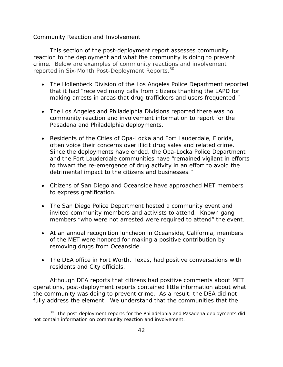### *Community Reaction and Involvement*

This section of the post-deployment report assesses community reaction to the deployment and what the community is doing to prevent crime. Below are examples of community reactions and involvement reported in Six-Month Post-Deployment Reports.<sup>30</sup>

- The Hollenbeck Division of the Los Angeles Police Department reported that it had "received many calls from citizens thanking the LAPD for making arrests in areas that drug traffickers and users frequented."
- The Los Angeles and Philadelphia Divisions reported there was no community reaction and involvement information to report for the Pasadena and Philadelphia deployments.
- Residents of the Cities of Opa-Locka and Fort Lauderdale, Florida, often voice their concerns over illicit drug sales and related crime. Since the deployments have ended, the Opa-Locka Police Department and the Fort Lauderdale communities have "remained vigilant in efforts to thwart the re-emergence of drug activity in an effort to avoid the detrimental impact to the citizens and businesses."
- Citizens of San Diego and Oceanside have approached MET members to express gratification.
- The San Diego Police Department hosted a community event and invited community members and activists to attend. Known gang members "who were not arrested were required to attend" the event.
- At an annual recognition luncheon in Oceanside, California, members of the MET were honored for making a positive contribution by removing drugs from Oceanside.
- The DEA office in Fort Worth, Texas, had positive conversations with residents and City officials.

Although DEA reports that citizens had positive comments about MET operations, post-deployment reports contained little information about what the community was doing to prevent crime. As a result, the DEA did not fully address the element. We understand that the communities that the

 $\overline{a}$ 

<sup>&</sup>lt;sup>30</sup> The post-deployment reports for the Philadelphia and Pasadena deployments did not contain information on community reaction and involvement.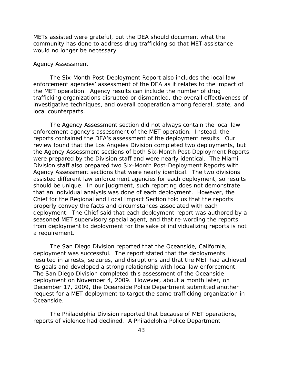METs assisted were grateful, but the DEA should document what the community has done to address drug trafficking so that MET assistance would no longer be necessary.

#### *Agency Assessment*

The Six-Month Post-Deployment Report also includes the local law enforcement agencies' assessment of the DEA as it relates to the impact of the MET operation. Agency results can include the number of drug trafficking organizations disrupted or dismantled, the overall effectiveness of investigative techniques, and overall cooperation among federal, state, and local counterparts.

The Agency Assessment section did not always contain the local law enforcement agency's assessment of the MET operation. Instead, the reports contained the DEA's assessment of the deployment results. Our review found that the Los Angeles Division completed two deployments, but the Agency Assessment sections of both Six-Month Post-Deployment Reports were prepared by the Division staff and were nearly identical. The Miami Division staff also prepared two Six-Month Post-Deployment Reports with Agency Assessment sections that were nearly identical. The two divisions assisted different law enforcement agencies for each deployment, so results should be unique. In our judgment, such reporting does not demonstrate that an individual analysis was done of each deployment. However, the Chief for the Regional and Local Impact Section told us that the reports properly convey the facts and circumstances associated with each deployment. The Chief said that each deployment report was authored by a seasoned MET supervisory special agent, and that re-wording the reports from deployment to deployment for the sake of individualizing reports is not a requirement.

The San Diego Division reported that the Oceanside, California, deployment was successful. The report stated that the deployments resulted in arrests, seizures, and disruptions and that the MET had achieved its goals and developed a strong relationship with local law enforcement. The San Diego Division completed this assessment of the Oceanside deployment on November 4, 2009. However, about a month later, on December 17, 2009, the Oceanside Police Department submitted another request for a MET deployment to target the same trafficking organization in Oceanside.

The Philadelphia Division reported that because of MET operations, reports of violence had declined. A Philadelphia Police Department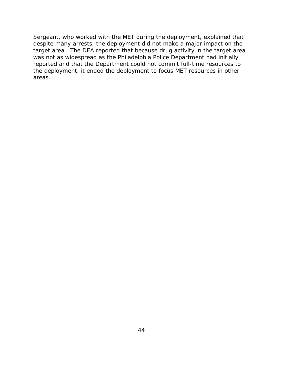Sergeant, who worked with the MET during the deployment, explained that despite many arrests, the deployment did not make a major impact on the target area. The DEA reported that because drug activity in the target area was not as widespread as the Philadelphia Police Department had initially reported and that the Department could not commit full-time resources to the deployment, it ended the deployment to focus MET resources in other areas.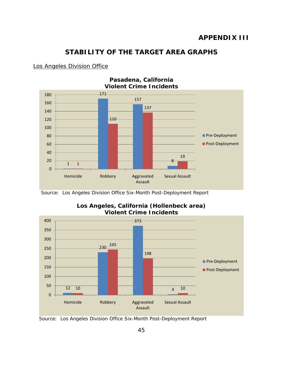# **STABILITY OF THE TARGET AREA GRAPHS**

### Los Angeles Division Office



Source: Los Angeles Division Office Six-Month Post-Deployment Report



**Los Angeles, California (Hollenbeck area) Violent Crime Incidents** 

Source: Los Angeles Division Office Six-Month Post-Deployment Report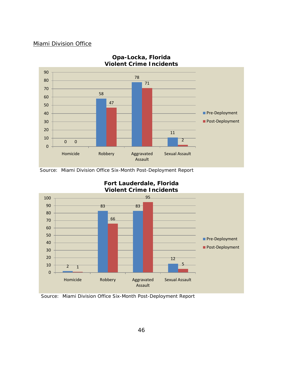### Miami Division Office



# **Opa-Locka, Florida Violent Crime Incidents**

Source: Miami Division Office Six-Month Post-Deployment Report



# **Fort Lauderdale, Florida Violent Crime Incidents**

Source: Miami Division Office Six-Month Post-Deployment Report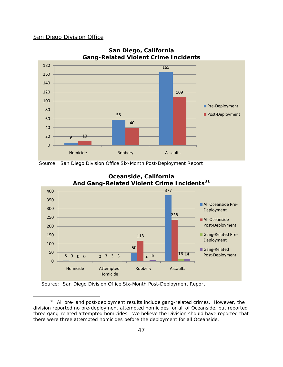#### <span id="page-62-0"></span>San Diego Division Office

 $\overline{a}$ 



### **San Diego, California Gang-Related Violent Crime Incidents**

Source: San Diego Division Office Six-Month Post-Deployment Report





Source: San Diego Division Office Six-Month Post-Deployment Report

<sup>&</sup>lt;sup>31</sup> All pre- and post-deployment results include gang-related crimes. However, the division reported no pre-deployment attempted homicides for all of Oceanside, but reported three gang-related attempted homicides. We believe the Division should have reported that there were three attempted homicides before the deployment for all Oceanside.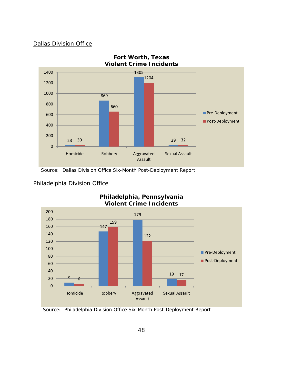### Dallas Division Office



Source: Dallas Division Office Six-Month Post-Deployment Report



# **Philadelphia, Pennsylvania**

Philadelphia Division Office

Source: Philadelphia Division Office Six-Month Post-Deployment Report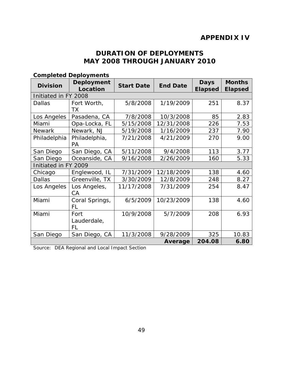# **APPENDIX IV**

# **DURATION OF DEPLOYMENTS MAY 2008 THROUGH JANUARY 2010**

| <b>Division</b>      | $50$ pictua Depio $j$ crito<br><b>Deployment</b> | <b>Start Date</b> | <b>End Date</b> | <b>Days</b>    | <b>Months</b>  |
|----------------------|--------------------------------------------------|-------------------|-----------------|----------------|----------------|
|                      | Location                                         |                   |                 | <b>Elapsed</b> | <b>Elapsed</b> |
| Initiated in FY 2008 |                                                  |                   |                 |                |                |
| <b>Dallas</b>        | Fort Worth,                                      | 5/8/2008          | 1/19/2009       | 251            | 8.37           |
|                      | ТX                                               |                   |                 |                |                |
| Los Angeles          | Pasadena, CA                                     | 7/8/2008          | 10/3/2008       | 85             | 2.83           |
| Miami                | Opa-Locka, FL                                    | 5/15/2008         | 12/31/2008      | 226            | 7.53           |
| <b>Newark</b>        | Newark, NJ                                       | 5/19/2008         | 1/16/2009       | 237            | 7.90           |
| Philadelphia         | Philadelphia,                                    | 7/21/2008         | 4/21/2009       | 270            | 9.00           |
|                      | <b>PA</b>                                        |                   |                 |                |                |
| San Diego            | San Diego, CA                                    | 5/11/2008         | 9/4/2008        | 113            | 3.77           |
| San Diego            | Oceanside, CA                                    | 9/16/2008         | 2/26/2009       | 160            | 5.33           |
| Initiated in FY 2009 |                                                  |                   |                 |                |                |
| Chicago              | Englewood, IL                                    | 7/31/2009         | 12/18/2009      | 138            | 4.60           |
| <b>Dallas</b>        | Greenville, TX                                   | 3/30/2009         | 12/8/2009       | 248            | 8.27           |
| Los Angeles          | Los Angeles,                                     | 11/17/2008        | 7/31/2009       | 254            | 8.47           |
|                      | <b>CA</b>                                        |                   |                 |                |                |
| Miami                | Coral Springs,                                   | 6/5/2009          | 10/23/2009      | 138            | 4.60           |
|                      | FL                                               |                   |                 |                |                |
| Miami                | Fort                                             | 10/9/2008         | 5/7/2009        | 208            | 6.93           |
|                      | Lauderdale,                                      |                   |                 |                |                |
|                      | FL                                               |                   |                 |                |                |
| San Diego            | San Diego, CA                                    | 11/3/2008         | 9/28/2009       | 325            | 10.83          |
|                      |                                                  |                   | Average         | 204.08         | 6.80           |

# **Completed Deployments**

Source: DEA Regional and Local Impact Section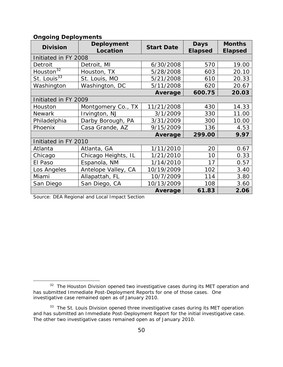| <b>Division</b>          | <b>Deployment</b><br>Location | <b>Start Date</b> | <b>Days</b><br><b>Elapsed</b> | <b>Months</b><br><b>Elapsed</b> |  |
|--------------------------|-------------------------------|-------------------|-------------------------------|---------------------------------|--|
| Initiated in FY 2008     |                               |                   |                               |                                 |  |
| Detroit                  | Detroit, MI                   | 6/30/2008         | 570                           | 19.00                           |  |
| $H$ ouston <sup>32</sup> | Houston, TX                   | 5/28/2008         | 603                           | 20.10                           |  |
| St. Louis <sup>33</sup>  | St. Louis, MO                 | 5/21/2008         | 610                           | 20.33                           |  |
| Washington               | Washington, DC                | 5/11/2008         | 620                           | 20.67                           |  |
|                          |                               | Average           | 600.75                        | 20.03                           |  |
| Initiated in FY 2009     |                               |                   |                               |                                 |  |
| Houston                  | Montgomery Co., TX            | 11/21/2008        | 430                           | 14.33                           |  |
| <b>Newark</b>            | Irvington, NJ                 | 3/1/2009          | 330                           | 11.00                           |  |
| Philadelphia             | Darby Borough, PA             | 3/31/2009         | 300                           | 10.00                           |  |
| Phoenix                  | Casa Grande, AZ<br>9/15/2009  |                   | 136                           | 4.53                            |  |
|                          | 299.00                        | 9.97              |                               |                                 |  |
| Initiated in FY 2010     |                               |                   |                               |                                 |  |
| Atlanta                  | Atlanta, GA                   | 1/11/2010         | 20                            | 0.67                            |  |
| Chicago                  | Chicago Heights, IL           | 1/21/2010         | 10                            | 0.33                            |  |
| El Paso                  | Espanola, NM                  | 1/14/2010         | 17                            | 0.57                            |  |
| Los Angeles              | Antelope Valley, CA           | 10/19/2009        | 102                           | 3.40                            |  |
| Miami                    | Allapattah, FL                | 10/7/2009         | 114                           | 3.80                            |  |
| San Diego                | San Diego, CA                 | 10/13/2009        | 108                           | 3.60                            |  |
|                          |                               | Average           | 61.83                         | 2.06                            |  |

#### **Ongoing Deployments**

Source: DEA Regional and Local Impact Section

 $\overline{a}$ 

<sup>&</sup>lt;sup>32</sup> The Houston Division opened two investigative cases during its MET operation and has submitted Immediate Post-Deployment Reports for one of those cases. One investigative case remained open as of January 2010.

and has submitted an Immediate Post-Deployment Report for the initial investigative case.<br>The other two investigative cases remained open as of January 2010. <sup>33</sup> The St. Louis Division opened three investigative cases during its MET operation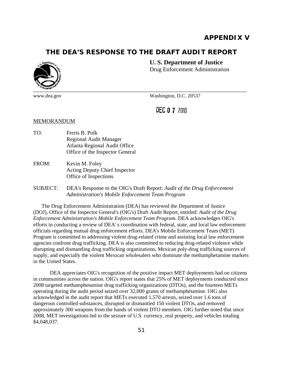# **APPENDIX V**

# **THE DEA'S RESPONSE TO THE DRAFT AUDIT REPORT**



www.dea.gov

#### **U. S. Department of Justice**

Drug Enforcement Administration

Washington, D.C. 20537

**DEC 0 7 2010** 

#### MEMORANDUM

- TO: Ferris B. Polk Regional Audit Manager Atlanta Regional Audit Office Office of the Inspector General
- FROM: Kevin M. Foley Acting Deputy Chief Inspector Office of Inspections

#### SUBJECT: DEA's Response to the OIG's Draft Report: *Audit of the Drug Enforcement Administration's Mobile Enforcement Team Program*

The Drug Enforcement Administration (DEA) has reviewed the Department of Justice (DOJ), Office of the Inspector General's (OIG's) Draft Audit Report, entitled: *Audit of the Drug Enforcement Administration's Mobile Enforcement Team Program*. DEA acknowledges OIG's efforts in conducting a review of DEA' s coordination with federal, state, and local law enforcement officials regarding mutual drug enforcement efforts. DEA's Mobile Enforcement Team (MET) Program is committed to addressing violent drug-related crime and assisting local law enforcement agencies confront drug trafficking. DEA is also committed to reducing drug-related violence while disrupting and dismantling drug trafficking organizations, Mexican poly-drug trafficking sources of supply, and especially the violent Mexican wholesalers who dominate the methamphetamine markets in the United States.

DEA appreciates OIG's recognition of the positive impact MET deployments had on citizens in communities across the nation. OIG's report states that 25% of MET deployments conducted since 2008 targeted methamphetamine drug trafficking organizations (DTOs), and the fourteen METs operating during the audit period seized over 32,000 grams of methamphetamine. OIG also acknowledged in the audit report that METs executed 1,570 arrests, seized over 1.6 tons of dangerous controlled substances, disrupted or dismantled 150 violent DTOs, and removed approximately 300 weapons from the hands of violent DTO members. OIG further noted that since 2008, MET investigations led to the seizure of U.S. currency, real property, and vehicles totaling \$4,048,037.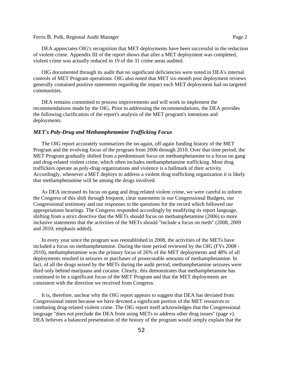#### Ferris B. Polk, Regional Audit Manager **Page 2** Page 2

DEA appreciates OIG's recognition that MET deployments have been successful in the reduction of violent crime. Appendix III of the report shows that after a MET deployment was completed, violent crime was actually reduced in 19 of the 31 crime areas audited.

OIG documented through its audit that no significant deficiencies were noted in DEA's internal controls of MET Program operations. OIG also noted that MET six-month post deployment reviews generally contained positive statements regarding the impact each MET deployment had on targeted communities.

DEA remains committed to process improvements and will work to implement the recommendations made by the OIG. Prior to addressing the recommendations, the DEA provides the following clarification of the report's analysis of the MET program's intentions and deployments.

#### *MET's Poly-Drug and Methamphetamine Trafficking Focus*

The OIG report accurately summarizes the on-again, off-again funding history of the MET Program and the evolving focus of the program from 2006 through 2010. Over that time period, the MET Program gradually shifted from a predominant focus on methamphetamine to a focus on gang and drug-related violent crime, which often includes methamphetamine trafficking. Most drug traffickers operate as poly-drug organizations and violence is a hallmark of their activity. Accordingly, whenever a MET deploys to address a violent drug trafficking organization it is likely that methamphetamine will be among the drugs involved.

As DEA increased its focus on gang and drug related violent crime, we were careful to inform the Congress of this shift through frequent, clear statements in our Congressional Budgets, our Congressional testimony and our responses to the questions for the record which followed our appropriations hearings. The Congress responded accordingly by modifying its report language, shifting from a strict directive that the METs should focus on methamphetamine (2006) to more inclusive statements that the activities of the METs should "include a focus on meth" (2008, 2009 and 2010; emphasis added).

 2010), methamphetamine was the primary focus of 26% of the MET deployments and 48% of all In every year since the program was reestablished in 2008, the activities of the METs have included a focus on methamphetamine. During the time period reviewed by the OIG (FYs 2008 deployments resulted in seizures or purchases of prosecutable amounts of methamphetamine. In fact, of all the drugs seized by the METs during the audit period, methamphetamine seizures were third only behind marijuana and cocaine. Clearly, this demonstrates that methamphetamine has continued to be a significant focus of the MET Program and that the MET deployments are consistent with the direction we received from Congress.

It is, therefore, unclear why the OIG report appears to suggest that DEA has deviated from Congressional intent because we have devoted a significant portion of the MET resources to combating drug-related violent crime. The OIG report itself acknowledges that the Congressional language "does not preclude the DEA from using METs to address other drug issues" (page v). DEA believes a balanced presentation of the history of the program would simply explain that the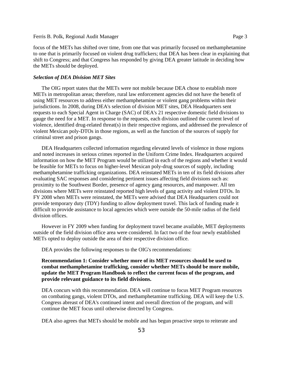#### Ferris B. Polk, Regional Audit Manager Page 3

focus of the METs has shifted over time, from one that was primarily focused on methamphetamine to one that is primarily focused on violent drug traffickers; that DEA has been clear in explaining that shift to Congress; and that Congress has responded by giving DEA greater latitude in deciding how the METs should be deployed.

#### *Selection of DEA Division MET Sites*

The OIG report states that the METs were not mobile because DEA chose to establish more METs in metropolitan areas; therefore, rural law enforcement agencies did not have the benefit of using MET resources to address either methamphetamine or violent gang problems within their jurisdictions. In 2008, during DEA's selection of division MET sites, DEA Headquarters sent requests to each Special Agent in Charge (SAC) of DEA's 21 respective domestic field divisions to gauge the need for a MET. In response to the requests, each division outlined the current level of violence, identified drug-related threat(s) in their respective regions, and addressed the prevalence of violent Mexican poly-DTOs in those regions, as well as the function of the sources of supply for criminal street and prison gangs.

DEA Headquarters collected information regarding elevated levels of violence in those regions and noted increases in serious crimes reported in the Uniform Crime Index. Headquarters acquired information on how the MET Program would be utilized in each of the regions and whether it would be feasible for METs to focus on higher-level Mexican poly-drug sources of supply, including methamphetamine trafficking organizations. DEA reinstated METs in ten of its field divisions after evaluating SAC responses and considering pertinent issues affecting field divisions such as: proximity to the Southwest Border, presence of agency gang resources, and manpower. All ten divisions where METs were reinstated reported high levels of gang activity and violent DTOs. In FY 2008 when METs were reinstated, the METs were advised that DEA Headquarters could not provide temporary duty (TDY) funding to allow deployment travel. This lack of funding made it difficult to provide assistance to local agencies which were outside the 50-mile radius of the field division offices.

However in FY 2009 when funding for deployment travel became available, MET deployments outside of the field division office area were considered. In fact two of the four newly established METs opted to deploy outside the area of their respective division office.

DEA provides the following responses to the OIG's recommendations:

**Recommendation 1: Consider whether more of its MET resources should be used to combat methamphetamine trafficking, consider whether METs should be more mobile, update the MET Program Handbook to reflect the current focus of the program, and provide relevant guidance to its field divisions.** 

DEA concurs with this recommendation. DEA will continue to focus MET Program resources on combating gangs, violent DTOs, and methamphetamine trafficking. DEA will keep the U.S. Congress abreast of DEA's continued intent and overall direction of the program, and will continue the MET focus until otherwise directed by Congress.

DEA also agrees that METs should be mobile and has begun proactive steps to reiterate and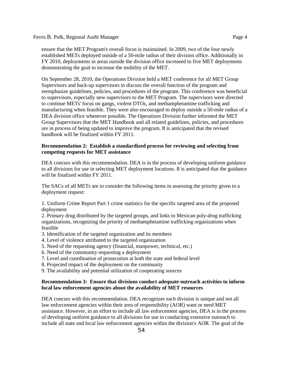ensure that the MET Program's overall focus is maintained. In 2009, two of the four newly established METs deployed outside of a 50-mile radius of their division office. Additionally in FY 2010, deployments in areas outside the division office increased to five MET deployments demonstrating the goal to increase the mobility of the MET.

On September 28, 2010, the Operations Division held a MET conference for all MET Group Supervisors and back-up supervisors to discuss the overall function of the program and reemphasize guidelines, policies, and procedures of the program. This conference was beneficial to supervisors, especially new supervisors to the MET Program. The supervisors were directed to continue METs' focus on gangs, violent DTOs, and methamphetamine trafficking and manufacturing when feasible. They were also encouraged to deploy outside a 50-mile radius of a DEA division office whenever possible. The Operations Division further informed the MET Group Supervisors that the MET Handbook and all related guidelines, policies, and procedures are in process of being updated to improve the program. It is anticipated that the revised handbook will be finalized within FY 2011.

#### **Recommendation 2: Establish a standardized process for reviewing and selecting from competing requests for MET assistance**

DEA concurs with this recommendation. DEA is in the process of developing uniform guidance to all divisions for use in selecting MET deployment locations. It is anticipated that the guidance will be finalized within FY 2011.

The SACs of all METs are to consider the following items in assessing the priority given to a deployment request:

1. Uniform Crime Report Part 1 crime statistics for the specific targeted area of the proposed deployment

2. Primary drug distributed by the targeted groups, and links to Mexican poly-drug trafficking organizations, recognizing the priority of methamphetamine trafficking organizations when feasible

- 3. Identification of the targeted organization and its members
- 4. Level of violence attributed to the targeted organization
- 5. Need of the requesting agency (financial, manpower, technical, etc.)
- 6. Need of the community requesting a deployment
- 7. Level and coordination of prosecution at both the state and federal level
- 8. Projected impact of the deployment on the community
- 9. The availability and potential utilization of cooperating sources

#### **Recommendation 3: Ensure that divisions conduct adequate outreach activities to inform local law enforcement agencies about the availability of MET resources**

DEA concurs with this recommendation. DEA recognizes each division is unique and not all law enforcement agencies within their area of responsibility (AOR) want or need MET assistance. However, in an effort to include all law enforcement agencies, DEA is in the process of developing uniform guidance to all divisions for use in conducting extensive outreach to include all state and local law enforcement agencies within the division's AOR. The goal of the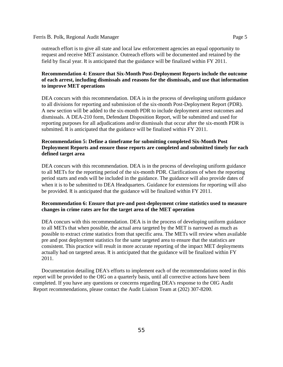#### Ferris B. Polk, Regional Audit Manager Page 5

outreach effort is to give all state and local law enforcement agencies an equal opportunity to request and receive MET assistance. Outreach efforts will be documented and retained by the field by fiscal year. It is anticipated that the guidance will be finalized within FY 2011.

#### **Recommendation 4: Ensure that Six-Month Post-Deployment Reports include the outcome of each arrest, including dismissals and reasons for the dismissals, and use that information to improve MET operations**

DEA concurs with this recommendation. DEA is in the process of developing uniform guidance to all divisions for reporting and submission of the six-month Post-Deployment Report (PDR). A new section will be added to the six-month PDR to include deployment arrest outcomes and dismissals. A DEA-210 form, Defendant Disposition Report, will be submitted and used for reporting purposes for all adjudications and/or dismissals that occur after the six-month PDR is submitted. It is anticipated that the guidance will be finalized within FY 2011.

#### **Recommendation 5: Define a timeframe for submitting completed Six-Month Post Deployment Reports and ensure those reports are completed and submitted timely for each defined target area**

DEA concurs with this recommendation. DEA is in the process of developing uniform guidance to all METs for the reporting period of the six-month PDR. Clarifications of when the reporting period starts and ends will be included in the guidance. The guidance will also provide dates of when it is to be submitted to DEA Headquarters. Guidance for extensions for reporting will also be provided. It is anticipated that the guidance will be finalized within FY 2011.

#### **Recommendation 6: Ensure that pre-and post-deployment crime statistics used to measure changes in crime rates are for the target area of the MET operation**

DEA concurs with this recommendation. DEA is in the process of developing uniform guidance to all METs that when possible, the actual area targeted by the MET is narrowed as much as possible to extract crime statistics from that specific area. The METs will review when available pre and post deployment statistics for the same targeted area to ensure that the statistics are consistent. This practice will result in more accurate reporting of the impact MET deployments actually had on targeted areas. It is anticipated that the guidance will be finalized within FY 2011.

 Report recommendations, please contact the Audit Liaison Team at (202) 307-8200. Documentation detailing DEA's efforts to implement each of the recommendations noted in this report will be provided to the OIG on a quarterly basis, until all corrective actions have been completed. If you have any questions or concerns regarding DEA's response to the OIG Audit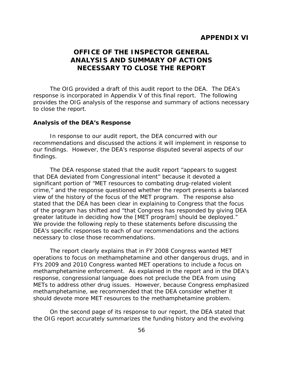# **APPENDIX VI**

# **OFFICE OF THE INSPECTOR GENERAL ANALYSIS AND SUMMARY OF ACTIONS NECESSARY TO CLOSE THE REPORT**

The OIG provided a draft of this audit report to the DEA. The DEA's response is incorporated in Appendix V of this final report. The following provides the OIG analysis of the response and summary of actions necessary to close the report.

### **Analysis of the DEA's Response**

In response to our audit report, the DEA concurred with our recommendations and discussed the actions it will implement in response to our findings. However, the DEA's response disputed several aspects of our findings.

The DEA response stated that the audit report "appears to suggest that DEA deviated from Congressional intent" because it devoted a significant portion of "MET resources to combating drug-related violent crime," and the response questioned whether the report presents a balanced view of the history of the focus of the MET program. The response also stated that the DEA has been clear in explaining to Congress that the focus of the program has shifted and "that Congress has responded by giving DEA greater latitude in deciding how the [MET program] should be deployed." We provide the following reply to these statements before discussing the DEA's specific responses to each of our recommendations and the actions necessary to close those recommendations.

The report clearly explains that in FY 2008 Congress wanted MET operations to focus on methamphetamine and other dangerous drugs, and in FYs 2009 and 2010 Congress wanted MET operations to include a focus on methamphetamine enforcement. As explained in the report and in the DEA's response, congressional language does not preclude the DEA from using METs to address other drug issues. However, because Congress emphasized methamphetamine, we recommended that the DEA consider whether it should devote more MET resources to the methamphetamine problem.

On the second page of its response to our report, the DEA stated that the OIG report accurately summarizes the funding history and the evolving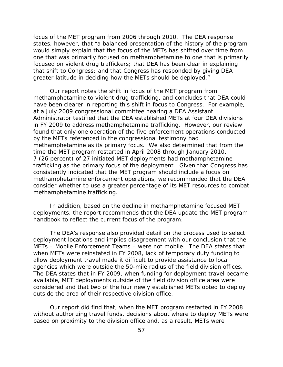focus of the MET program from 2006 through 2010. The DEA response states, however, that "a balanced presentation of the history of the program would simply explain that the focus of the METs has shifted over time from one that was primarily focused on methamphetamine to one that is primarily focused on violent drug traffickers; that DEA has been clear in explaining that shift to Congress; and that Congress has responded by giving DEA greater latitude in deciding how the METs should be deployed."

Our report notes the shift in focus of the MET program from methamphetamine to violent drug trafficking, and concludes that DEA could have been clearer in reporting this shift in focus to Congress. For example, at a July 2009 congressional committee hearing a DEA Assistant Administrator testified that the DEA established METs at four DEA divisions in FY 2009 to address methamphetamine trafficking. However, our review found that only one operation of the five enforcement operations conducted by the METs referenced in the congressional testimony had methamphetamine as its primary focus. We also determined that from the time the MET program restarted in April 2008 through January 2010, 7 (26 percent) of 27 initiated MET deployments had methamphetamine trafficking as the primary focus of the deployment. Given that Congress has consistently indicated that the MET program should include a focus on methamphetamine enforcement operations, we recommended that the DEA consider whether to use a greater percentage of its MET resources to combat methamphetamine trafficking.

In addition, based on the decline in methamphetamine focused MET deployments, the report recommends that the DEA update the MET program handbook to reflect the current focus of the program.

The DEA's response also provided detail on the process used to select deployment locations and implies disagreement with our conclusion that the METs – Mobile Enforcement Teams – were not mobile. The DEA states that when METs were reinstated in FY 2008, lack of temporary duty funding to allow deployment travel made it difficult to provide assistance to local agencies which were outside the 50-mile radius of the field division offices. The DEA states that in FY 2009, when funding for deployment travel became available, MET deployments outside of the field division office area were considered and that two of the four newly established METs opted to deploy outside the area of their respective division office.

Our report did find that, when the MET program restarted in FY 2008 without authorizing travel funds, decisions about where to deploy METs were based on proximity to the division office and, as a result, METs were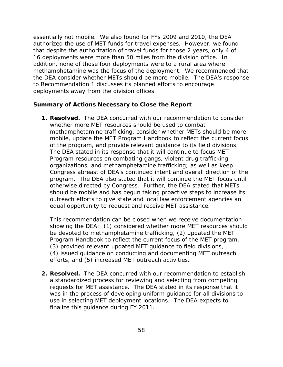essentially not mobile. We also found for FYs 2009 and 2010, the DEA authorized the use of MET funds for travel expenses. However, we found that despite the authorization of travel funds for those 2 years, only 4 of 16 deployments were more than 50 miles from the division office. In addition, none of those four deployments were to a rural area where methamphetamine was the focus of the deployment. We recommended that the DEA consider whether METs should be more mobile. The DEA's response to Recommendation 1 discusses its planned efforts to encourage deployments away from the division offices.

## **Summary of Actions Necessary to Close the Report**

**1. Resolved.** The DEA concurred with our recommendation to consider whether more MET resources should be used to combat methamphetamine trafficking, consider whether METs should be more mobile, update the MET Program Handbook to reflect the current focus of the program, and provide relevant guidance to its field divisions. The DEA stated in its response that it will continue to focus MET Program resources on combating gangs, violent drug trafficking organizations, and methamphetamine trafficking; as well as keep Congress abreast of DEA's continued intent and overall direction of the program. The DEA also stated that it will continue the MET focus until otherwise directed by Congress. Further, the DEA stated that METs should be mobile and has begun taking proactive steps to increase its outreach efforts to give state and local law enforcement agencies an equal opportunity to request and receive MET assistance.

This recommendation can be closed when we receive documentation showing the DEA: (1) considered whether more MET resources should be devoted to methamphetamine trafficking, (2) updated the MET Program Handbook to reflect the current focus of the MET program, (3) provided relevant updated MET guidance to field divisions, (4) issued guidance on conducting and documenting MET outreach efforts, and (5) increased MET outreach activities.

**2. Resolved.** The DEA concurred with our recommendation to establish a standardized process for reviewing and selecting from competing requests for MET assistance. The DEA stated in its response that it was in the process of developing uniform guidance for all divisions to use in selecting MET deployment locations. The DEA expects to finalize this guidance during FY 2011.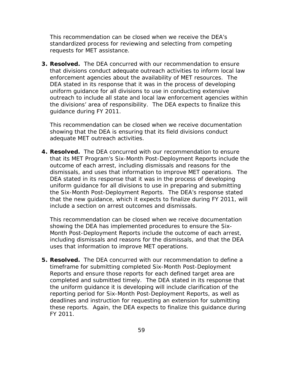This recommendation can be closed when we receive the DEA's standardized process for reviewing and selecting from competing requests for MET assistance.

**3. Resolved.** The DEA concurred with our recommendation to ensure that divisions conduct adequate outreach activities to inform local law enforcement agencies about the availability of MET resources. The DEA stated in its response that it was in the process of developing uniform guidance for all divisions to use in conducting extensive outreach to include all state and local law enforcement agencies within the divisions' area of responsibility. The DEA expects to finalize this guidance during FY 2011.

This recommendation can be closed when we receive documentation showing that the DEA is ensuring that its field divisions conduct adequate MET outreach activities.

**4. Resolved.** The DEA concurred with our recommendation to ensure that its MET Program's Six-Month Post-Deployment Reports include the outcome of each arrest, including dismissals and reasons for the dismissals, and uses that information to improve MET operations. The DEA stated in its response that it was in the process of developing uniform guidance for all divisions to use in preparing and submitting the Six-Month Post-Deployment Reports. The DEA's response stated that the new guidance, which it expects to finalize during FY 2011, will include a section on arrest outcomes and dismissals.

This recommendation can be closed when we receive documentation showing the DEA has implemented procedures to ensure the Six-Month Post-Deployment Reports include the outcome of each arrest, including dismissals and reasons for the dismissals, and that the DEA uses that information to improve MET operations.

**5. Resolved.** The DEA concurred with our recommendation to define a timeframe for submitting completed Six-Month Post-Deployment Reports and ensure those reports for each defined target area are completed and submitted timely. The DEA stated in its response that the uniform guidance it is developing will include clarification of the reporting period for Six-Month Post-Deployment Reports, as well as deadlines and instruction for requesting an extension for submitting these reports. Again, the DEA expects to finalize this guidance during FY 2011.